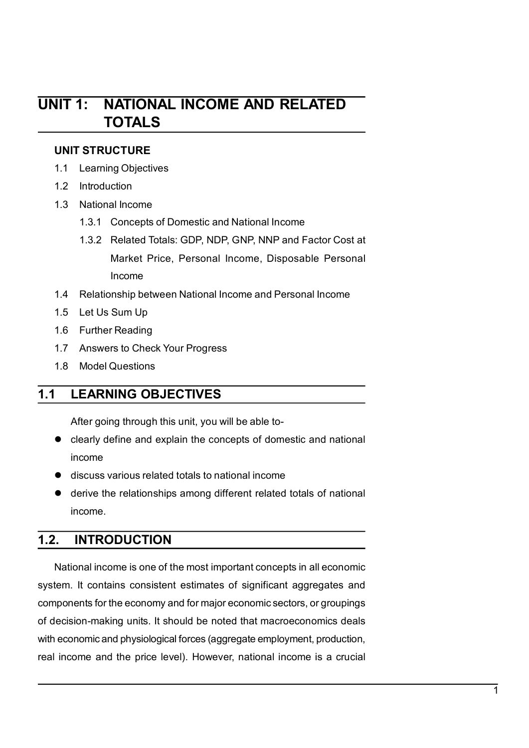# UNIT 1: NATIONAL INCOME AND RELATED<br>TOTALS UNIT 1: NATIONAL INCOME AND RELATED<br>TOTALS<br>UNIT STRUCTURE TOTALS VIT 1: NATIONAL INCOME AND RELATED<br>TOTALS<br>UNIT STRUCTURE<br>1.1 Learning Objectives<br>1.2 Introduction<br>1.3 National Income **SAMIT 1: NATIONAL INCOME AND RELATED<br>
TOTALS<br>
UNIT STRUCTURE<br>
1.1 Learning Objectives<br>
1.2 Introduction<br>
1.3 National Income<br>
1.3.1 Concepts of Domestic and National Income IIT 1: NATIONAL INCOME AND RELATED<br>
TOTALS<br>
UNIT STRUCTURE<br>
1.1 Learning Objectives<br>
1.2 Introduction<br>
1.3.1 Concepts of Domestic and National Income<br>
1.3.1 Concepts of Domestic and National Income<br>
1.3.2 Related Totals: IIT 1: NATIONAL INCOME AND RELATED<br>
TOTALS<br>
UNIT STRUCTURE<br>
1.1 Learning Objectives<br>
1.2 Introduction<br>
1.3.1 Concepts of Domestic and National Income<br>
1.3.2 Related Totals: GDP, NDP, GNP, NNP and Factor Cost at<br>
Market Pr**

- 
- 
- -
- 1.3.2 Related Totals: GDP, NDP, GNP, NNP and Factor Cost at<br>
Marking Objectives<br>
Introduction<br>
Introduction<br>
National Income<br>
1.3.1 Concepts of Domestic and National Income<br>
1.3.2 Related Totals: GDP, NDP, GNP, NNP and Fac 1.3.2 **NATIONAL INCOME AND RELATED**<br> **TOTALS**<br>
STRUCTURE<br>
Learning Objectives<br>
Introduction<br>
National Income<br>
1.3.1 Concepts of Domestic and National Income<br>
1.3.2 Related Totals: GDP, NDP, GNP, NNP and Factor Cost at<br>
Mar **IATIONAL INCOME AND RELATED<br>
COTALS<br>
COTALS<br>
ECTURE**<br>
Income<br>
al Income<br>
Concepts of Domestic and National Income<br>
Related Totals: GDP, NDP, GNP, NNP and Factor Cost at<br>
Market Price, Personal Income, Disposable Personal<br> Income **IT 1: NATIONAL INCOME AND RELATED<br>
TOTALS**<br>
1.1 Learning Objectives<br>
1.2 Introduction<br>
1.3 National Income<br>
1.3.1 Concepts of Domestic and National Income<br>
1.3.2 Related Totals: GDP, NDP, GNP, NNP and Factor Cost at<br>
Mark **Solution Start School Start Start Start Start Start Start Start Start Start Start Start Start Start Start Start Start Start Start Start Start Start Start Start Start Start Start Start Start Start Start Start Start Start S IT 1: NATIONAL INCOME AND RELATED<br>
TOTALS**<br>
UNIT STRUCTURE<br>
1.1 Learning Objectives<br>
1.2 Introduction<br>
1.3.1 Concepts of Domestic and National Income<br>
1.3.2 Related Totals: GDP, NDP, GNP, NNP and Factor Cost at<br>
Market Pr TOTALS<br>
1.1 Learning Objectives<br>
1.2 Introduction<br>
1.3 National Income<br>
1.3.1 Concepts of Domestic and National Income<br>
1.3.2 Related Totals: GDP, NDP, GNP, NNP and Factor Cost at<br>
Market Price, Personal Income, Disposable UNIT STRUCTURE<br>
1.1 Learning Objectives<br>
1.2 Introduction<br>
1.3 National Income<br>
1.3.1 Concepts of Domestic and National Income<br>
1.3.2 Related Totals: GDP, NDP, GNP, NNP and Factor Cost at<br>
Market Price, Personal Income, Di 1.1 Learning Objectives<br>
1.2 Introduction<br>
1.3 National Income<br>
1.3.1 Concepts of Domestic and National Income<br>
1.3.2 Related Totals: GDP, NDP, GNP, NNP and Factor Cost at<br>
Market Price, Personal Income, Disposable Persona Mational Income<br>
1.3.1 Concepts of Domestic and National Income<br>
1.3.2 Related Totals: GDP, NDP, GNP, NNP and Factor Cost at<br>
Market Price, Personal Income, Disposable Personal<br>
Income<br>
Relationship between National Income 1.3.1 Concepts of Domestic and National Income<br>
1.3.2 Related Totals: GDP, NDP, GNP, NNP and Factor Cost at<br>
Market Price, Personal Income, Disposable Personal<br>
Income<br>
1.4 Relationship between National Income and Personal Market Price, Personal Income, Disposable Personal<br>Income<br>1.4 Relationship between National Income and Personal Income<br>1.5 Let Us Sum Up<br>1.6 Further Reading<br>1.7 Answers to Check Your Progress<br>1.8 Model Questions<br>1.8 Model
	-
	-
	-
	-
	-

- income
- 
- mome<br>
1.4 Relationship between National Income and Personal Income<br>
1.5 Let Us Sum Up<br>
1.6 Further Reading<br>
1.7 Answers to Check Your Progress<br>
1.8 Model Questions<br> **LEARNING OBJECTIVES**<br>
After going through this unit, you income.

1.5 Let Us Sum Up<br>
1.6 Further Reading<br>
1.7 Answers to Check Your Progress<br>
1.8 Model Questions<br>
1.1 LEARNING OBJECTIVES<br>
After going through this unit, you will be able to-<br>
clearly define and explain the concepts of dome 1.7 Answers to Check Your Progress<br>
1.8 Model Questions<br>
ILEARNING OBJECTIVES<br>
After going through this unit, you will be able to-<br>
● clearly define and explain the concepts of domestic and national<br>
income<br>
● discuss var 1.8 Model Questions<br>
1.1 LEARNING OBJECTIVES<br>
After going through this unit, you will be able to-<br>
clearly define and explain the concepts of domestic and national<br>
income<br>
● discuss various related totals to national inc **1.1 LEARNING OBJECTIVES**<br>
After going through this unit, you will be able to-<br>
● clearly define and explain the concepts of domestic and national<br>
income<br>
● discuss various related totals to national income<br>
● derive the **1.1 LEARNING OBJECTIVES**<br>
After going through this unit, you will be able to-<br>
● clearly define and explain the concepts of domestic and national<br>
income<br>
● discuss various related totals to national income<br>
● derive the After going through this unit, you will be able to-<br>
● clearly define and explain the concepts of domestic and national<br>
income<br>
● discuss various related totals to national income<br>
● derive the relationships among differ real income and the price level). However, national income is a crucial income discuss various related totals to national income<br>
■ discuss various related totals to national income<br>
■ discuss various related totals to na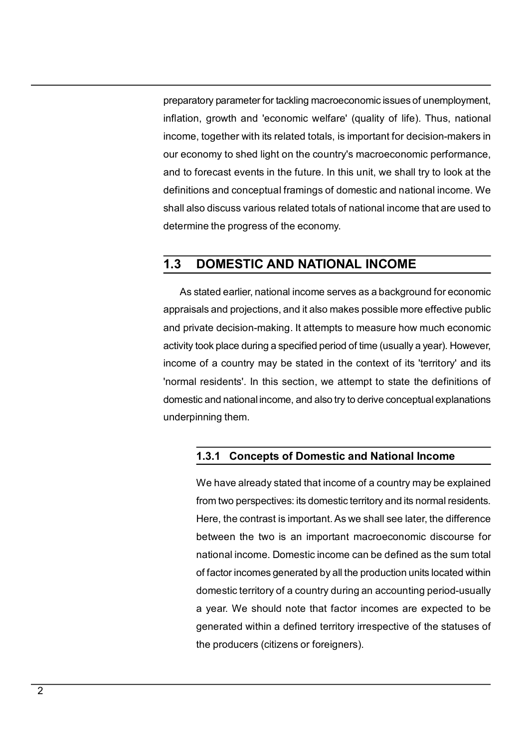preparatory parameter for tackling macroeconomic issues of unemployment,<br>inflation, growth and 'economic welfare' (quality of life). Thus, national<br>income, together with its related totals, is important for decision-makers preparatory parameter for tackling macroeconomic issues of unemployment,<br>inflation, growth and 'economic welfare' (quality of life). Thus, national<br>income, together with its related totals, is important for decision-makers preparatory parameter for tackling macroeconomic issues of unemployment,<br>inflation, growth and 'economic welfare' (quality of life). Thus, national<br>income, together with its related totals, is important for decision-makers preparatory parameter for tackling macroeconomic issues of unemployment,<br>inflation, growth and 'economic welfare' (quality of life). Thus, national<br>income, together with its related totals, is important for decision-makers preparatory parameter for tackling macroeconomic issues of unemployment,<br>inflation, growth and 'economic welfare' (quality of life). Thus, national<br>income, together with its related totals, is important for decision-makers preparatory parameter for tackling macroeconomic issues of unemployment,<br>inflation, growth and 'economic welfare' (quality of life). Thus, national<br>income, together with its related totals, is important for decision-makers preparatory parameter for tackling macroeconomic issues of unemployment,<br>inflation, growth and 'economic welfare' (quality of life). Thus, national<br>income, together with its related totals, is important for decision-makers preparatory parameter for tackling macroeconomic issues of unemployment,<br>inflation, growth and 'economic welfare' (quality of life). Thus, national<br>income, together with its related totals, is important for decision-makers preparatory parameter for tackling macroeconomic issues of unemployment,<br>inflation, growth and 'economic welfare' (quality of life). Thus, national<br>income, together with its related totals, is important for decision-makers Deparatory parameter for tackling macroeconomic issues of unemployment,<br>Ation, growth and 'economic welfare' (quality of life). Thus, national<br>Demony to shed light on the country's macroeconomic performance,<br>to forecast ev preparatory parameter for tackling macroeconomic issues of unemployment,<br>inflation, growth and 'economic welfare' (quality of life). Thus, national<br>income, together with its related totals, is important for decision-makers preparatory parameter for tackling macroeconomic issues of unemployment,<br>inflation, growth and 'economic welfare' (quality of life). Thus, national<br>income, together with its related totals, is important for decision-makers inflation, growth and 'economic welfare' (quality of life). Thus, national<br>income, together with its related totals, is important for decision-makers in<br>our economy to shed light on the country's macroeconomic performance,

income, together with its related totals, is important for decision-makers in<br>our economy to shed light on the country's macroeconomic performance,<br>and to forecast events in the future. In this unit, we shall try to look a our economy to shed light on the country's macroeconomic performance,<br>and to forecast events in the future. In this unit, we shall try to look at the<br>definitions and conceptual framings of domestic and national income. We<br> and to forecast events in the future. In this unit, we shall try to look at the<br>definitions and conceptual framings of domestic and national income. We<br>shall also discuss various related totals of national income that are definitions and conceptual framings of domestic and national income. We<br>shall also discuss various related totals of national income that are used to<br>determine the progress of the economy.<br><br>**1.3 DOMESTIC AND NATIONAL INCOM** Incombe the progress of the economy.<br> **DOMESTIC AND NATIONAL INCOME**<br>
stated earlier, national income serves as a background for economic<br>
als and projections, and it also makes possible more effective public<br>
vate decisio **DOMESTIC AND NATIONAL INCOME**<br>stated earlier, national income serves as a background for economic<br>als and projections, and it also makes possible more effective public<br>vate decision-making. It attempts to measure how much **Example 12 The Control Control Control Control Control Control and projections, and it also makes possible more effective public vate decision-making. It attempts to measure how much economic took place during a specified** stated earlier, national income serves as a background for economic<br>als and projections, and it also makes possible more effective public<br>vate decision-making. It attempts to measure how much economic<br>took place during a s als and projections, and it also makes possible more effective public<br>vate decision-making. It attempts to measure how much economic<br>took place during a specified period of time (usually a year). However,<br>of a country may

vate decision-making. It attempts to measure how much economic<br>took place during a specified period of time (usually a year). However,<br>of a country may be stated in the context of its 'territory' and its<br>residents'. In thi took place during a specified period of time (usually a year). However,<br>of a country may be stated in the context of its 'territory' and its<br>residents'. In this section, we attempt to state the definitions of<br>ic and nation of a country may be stated in the context of its 'territory' and its<br>residents'. In this section, we attempt to state the definitions of<br>ic and national income, and also try to derive conceptual explanations<br>inning them.<br> residents'. In this section, we attempt to state the definitions of<br>ic and national income, and also try to derive conceptual explanations<br>inning them.<br>**1.3.1 Concepts of Domestic and National Income**<br>We have already state ic and national income, and also try to derive conceptual explanations<br>inning them.<br>1.3.1 Concepts of Domestic and National Income<br>We have already stated that income of a country may be explained<br>from two perspectives: its inning them.<br>
1.3.1 Concepts of Domestic and National Income<br>
We have already stated that income of a country may be explained<br>
from two perspectives: its domestic territory and its normal residents.<br>
Here, the contrast is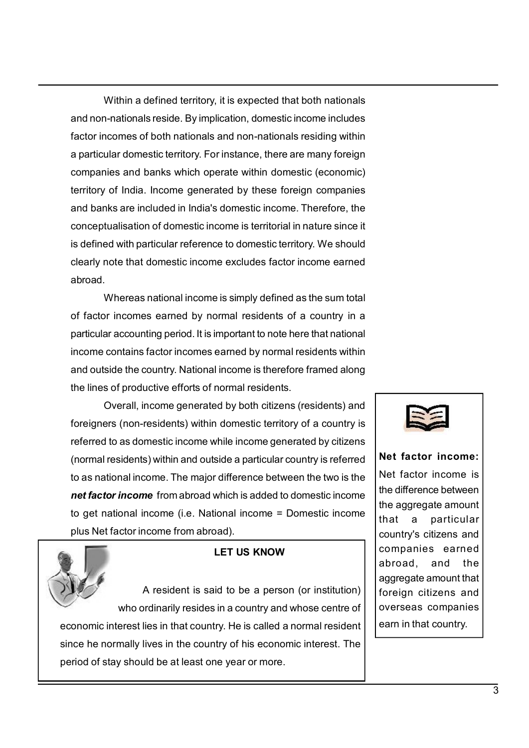Within a defined territory, it is expected that both nationals<br>
Intertant of the property of the property of the property of the process of both nationals and non-nationals residing within<br>
Unar domestic territory. For ins Within a defined territory, it is expected that both nationals<br>and non-nationals reside. By implication, domestic income includes<br>factor incomes of both nationals and non-nationals residing within<br>a particular domestic ter Within a defined territory, it is expected that both nationals<br>and non-nationals reside. By implication, domestic income includes<br>factor incomes of both nationals and non-nationals residing within<br>a particular domestic ter Within a defined territory, it is expected that both nationals<br>and non-nationals reside. By implication, domestic income includes<br>factor incomes of both nationals and non-nationals residing within<br>a particular domestic ter Within a defined territory, it is expected that both nationals<br>and non-nationals reside. By implication, domestic income includes<br>factor incomes of both nationals and non-nationals residing within<br>a particular domestic ter Within a defined territory, it is expected that both nationals<br>and non-nationals reside. By implication, domestic income includes<br>factor incomes of both nationals and non-nationals residing within<br>a particular domestic ter Within a defined territory, it is expected that both nationals<br>and non-nationals reside. By implication, domestic income includes<br>factor incomes of both nationals and non-nationals residing within<br>a particular domestic ter Within a defined territory, it is expected that both nationals<br>and non-nationals reside. By implication, domestic income includes<br>factor incomes of both nationals and non-nationals residing within<br>a particular domestic ter Within a defined territory, it is expected that both nationals<br>and non-nationals reside. By implication, domestic income includes<br>factor incomes of both nationals and non-nationals residing within<br>a particular domestic ter Within a defined territory, it is expected that both nationals<br>and non-nationals reside. By implication, domestic income includes<br>factor incomes of both nationals and non-nationals residing within<br>a particular domestic ter abroad. Within a defined territory, it is expected that both nationals<br>n-nationals reside. By implication, domestic income includes<br>ncomes of both nationals and non-nationals residing within<br>ular domestic territory. For instance, Within a defined territory, it is expected that both nationals<br>and non-nationals reside. By implication, domestic income includes<br>factor incomes of both nationals and non-nationals residing within<br>a particular domestic ter **Particular Science Centro, in solutions** connein to mation and non-national streated. By implication, domestic income includes factor incomes of both nationals and non-nationals residing within a particular domestic terri mindiminal contains for the mathematics and the mathematics and factor incomes of both nationals and non-nationals resite many foreign<br>a particular domestic territory. For instance, there are many foreign<br>companies and ban and a particular domestic territory, For instance the ate many foreign<br>a particular domestic territory, For instance, there are many foreign<br>companies and banks which operate within domestic (economic)<br>territory of India. reination comparison and banks which operate within domestic (economic)<br>territory of India. Income generated by these foreign companies<br>and banks are included in India's domestic income. Therefore, the<br>conceptualisation of not a three incomes generated by these foreign companies<br>
of India. Income generated by these foreign companies<br>
that are included in India's domestic income. Therefore, the<br>
tualisation of domestic income is territorial i

Formal man internal income spin and the man internal territorial and banks are included in India's domestic income. Therefore, the<br>conceptualisation of domestic income is territorial in nature since it<br>is defined with part and varias are much as domestic income is territorial: material in particular is the distriction of domestic territory. We should clearly note that domestic income excludes factor income earned abroad.<br>
Whereas national in

Edited with particular reference to domestic territory. We should<br>clearly note that domestic income excludes factor income earned<br>abroad.<br>Whereas national income is simply defined as the sum total<br>of factor incomes earned signation and particular incircular technical is verified as the sum total<br>abroad.<br>
Whereas national income is simply defined as the sum total<br>
of factor incomes earned by normal residents of a country in a<br>
particular acc net factor income significant income form abroad which is added to domestic income<br>
net factor incomes earned by normal residents of a country in a<br>
particular accounting period. It is important to note here that national<br> Whereas national income is simply defined as the sum total<br>
of factor incomes earned by normal residents of a country in a<br>
particular accounting period. It is important to note here that national<br>
income contains factor i For the moment and the state of a country in a particular accounting period is simportant to tote here that national<br>income contains factor incomes earned by normal residents of a country in a<br>particular command income con mportant to note here that national<br>
learned by normal residents within<br>
lincome is therefore framed along<br>
and more is therefore framed along<br>
and national residents) and<br>
while income generated by citizens<br>
side a partic Country. National income is therefore framed along<br>
uctive efforts of normal residents.<br>
income generated by both citizens (residents) and<br>
residents) within domestic territory of a country is<br>
syithin and outside a partic Finditive efforts of normal residents.<br>
Final, income generated by both citizens (residents) and<br>
(non-residents) within domestic territory of a country is<br>
as domestic income while income generated by citizens<br>
idents) wi Example the conomic interest lies in that country. He is called a normal residents is income that country is referred by citizens<br>
(normal residents) within and outside a particular country is referred by citizens<br>
(normal Since the normal within domestic erritory of a country is<br>
referred to as domestic income while income generated by citizens<br>
(normal residents) within and outside a particular country is referred<br>
to as national income. T methemed to as domestic income while income generated by citizens<br>
(normal residents) within and outside a particular country is referred<br>
to as national income. The major difference between the two is the therefore income





Net factor income:<br>Net factor income is<br>the difference between<br>the aggregate amount Net factor income:<br>Net factor income is<br>the difference between<br>the aggregate amount<br>that a particular Net factor income:<br>Net factor income is<br>the difference between<br>the aggregate amount<br>that a particular<br>country's citizens and Net factor income:<br>Net factor income is<br>the difference between<br>the aggregate amount<br>that a particular<br>country's citizens and<br>companies earned Net factor income:<br>
Net factor income is<br>
the difference between<br>
the aggregate amount<br>
that a particular<br>
country's citizens and<br>
companies earned<br>
abroad, and the Net factor income:<br>Net factor income is<br>the difference between<br>the aggregate amount<br>that a particular<br>country's citizens and<br>companies earned<br>abroad, and the<br>aggregate amount that<br>foreign eitherne and Net factor income:<br>
Net factor income is<br>
the difference between<br>
the aggregate amount<br>
that a particular<br>
country's citizens and<br>
companies earned<br>
abroad, and the<br>
aggregate amount that<br>
foreign citizens and<br>
aversons co Net factor income:<br>
Net factor income is<br>
the difference between<br>
the aggregate amount<br>
that a particular<br>
country's citizens and<br>
companies earned<br>
abroad, and the<br>
aggregate amount that<br>
foreign citizens and<br>
overseas co **aggregate amount**<br>and the difference between<br>the aggregate amount<br>that a particular<br>country's citizens and<br>companies earned<br>abroad, and the<br>aggregate amount that<br>foreign citizens and<br>overseas companies<br>earn in that countr Net factor income:<br>
Net factor income is<br>
the difference between<br>
the aggregate amount<br>
that a particular<br>
country's citizens and<br>
companies earned<br>
abroad, and the<br>
aggregate amount that<br>
foreign citizens and<br>
overseas co Net factor income:<br>
Net factor income is<br>
the difference between<br>
the aggregate amount<br>
that a particular<br>
country's citizens and<br>
companies earned<br>
abroad, and the<br>
aggregate amount that<br>
foreign citizens and<br>
overseas co Net factor income:<br>
Net factor income is<br>
the difference between<br>
the aggregate amount<br>
that a particular<br>
country's citizens and<br>
companies earned<br>
abroad, and the<br>
aggregate amount that<br>
foreign citizens and<br>
overseas co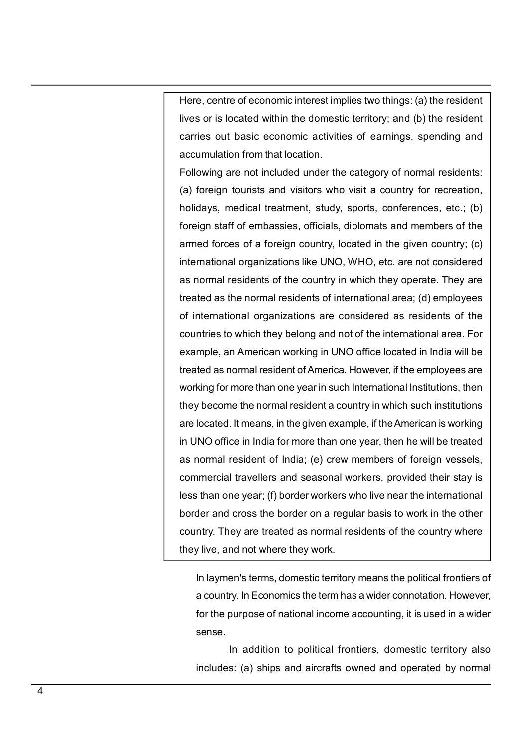Here, centre of economic interest implies two things: (a) the resident<br>lives or is located within the domestic territory; and (b) the resident<br>carries out basic economic activities of earnings, spending and<br>accumulation fr Here, centre of economic interest implies two things: (a) the resident<br>lives or is located within the domestic territory; and (b) the resident<br>carries out basic economic activities of earnings, spending and<br>accumulation fr Here, centre of economic interest implies two things: (a) the resident<br>lives or is located within the domestic territory; and (b) the resident<br>carries out basic economic activities of earnings, spending and<br>accumulation fr Here, centre of economic interest implies two things: (a) the resident<br>lives or is located within the domestic territory; and (b) the resident<br>carries out basic economic activities of earnings, spending and<br>accumulation fr Here, centre of economic interest implies two things: (a) the resident<br>lives or is located within the domestic territory; and (b) the resident<br>carries out basic economic activities of earnings, spending and<br>accumulation fr

Here, centre of economic interest implies two things: (a) the resident<br>lives or is located within the domestic territory; and (b) the resident<br>carries out basic economic activities of earnings, spending and<br>accumulation fr Here, centre of economic interest implies two things: (a) the resident<br>lives or is located within the domestic territory; and (b) the resident<br>carries out basic economic activities of earnings, spending and<br>accumulation fr Frace, centre of economic interest implies two things: (a) the resident<br>lives or is located within the domestic territory; and (b) the resident<br>carries out basic economic activities of earnings, spending and<br>accumulation f Here, centre of economic interest implies two things: (a) the resident<br>ilves or is located within the domestic territory; and (b) the resident<br>carries out basic economic activities of earnings, spending and<br>accumulation fr Here, centre of economic interest implies two things: (a) the resident<br>lives or is located within the domestic territory; and (b) the resident<br>carries out basic economic activities of earnings, spending and<br>accumulation fr Here, centre of economic interest implies two things: (a) the resident<br>lives or is located within the domestic territory; and (b) the resident<br>carries out basic economic activities of earnings, spending and<br>accumulation fr Here, centre of economic interest implies two things: (a) the resident<br>lives or is located within the domestic territory; and (b) the resident<br>carries out basic economic activities of earnings, spending and<br>accumulation fr Here, centre of economic interest implies two things: (a) the resident<br>lives or is located within the domestic territory; and (b) the resident<br>carries out basic economic activities of earnings, spending and<br>accumulation fr Frenc, centre of economic interest implies two dinitys. (a) the resident<br>tives or is located within the domestic territory; and (b) the resident<br>carries out basic economic activities of earnings, spending and<br>accumulation recall the solution from the contest century, and (b) the resident<br>carries out basic economic activities of earnings, spending and<br>accumulation from that location.<br>(a) foreign tourists and visitors who visit a country for tarnes out basic economic activities of earlings, speriaing and<br>accumulation from that location.<br>
(a) foreign tourists and visitors who visit a country for recreation,<br>
holidays, medical treatment, study, sports, conferenc Eollowing are not included under the category of normal residents:<br>
(a) foreign tourists and visitors who visit a country for recreation,<br>
holidays, medical treatment, study, sports, conferences, etc.; (b)<br>
foreign staff o They are intertualled under the date your or institutions.<br>
(a) foreign tourists and visitors who visit a country for recreation,<br>
holidays, medical treatment, study, sports, conferences, etc.; (b)<br>
foreign staff of embas (a) oleagn collists and visitors who visit a country for fecteration,<br>holidays, medical treatment, study, sports, conferences, etc.; (b)<br>foreign staff of embassies, officials, diplomats and members of the<br>armed forces of a in Universy, ineutical treatment, study, sports, connerences, etc., (b)<br>foreign staff of embassies, officials, diplomats and members of the<br>armed forces of a foreign country, located in the given country; (c)<br>international rolegin stan of embassises, onloads, uplotinats and members of the<br>armed forces of a foreign country, located in the given country; (c)<br>international organizations like UNO, WHO, etc. are not considered<br>as normal residents anned inces of a foreign country, rocated in the given country, re-<br>international organizations like UNO, WHO, etc. are not considered<br>as normal residents of the country in which they operate. They are<br>trasted as the norma ntentrational organizations like orto, writo, etc. are not considered<br>as normal residents of the country in which they operate. They are<br>treated as the normal residents of international area; (d) employees<br>of international as notinal restactins of the country in winch they operate. They are<br>treated as the normal residents of international area; (d) employees<br>of international organizations are considered as residents of the<br>countries to which reacted as the normal residents of international area, (c) employees<br>of international organizations are considered as residents of the<br>countries to which they belong and not of the international area. For<br>example, an Ameri or international organizations are considered as residents or the<br>countries to which they belong and not of the international area. For<br>example, an American working in UNO office located in India will be<br>treated as normal mple, an American working in UNO office located in India will be<br>ted as normal resident of America. However, if the employees are<br>king for more than one year in such International Institutions, then<br>y become the normal res ted as normal resident of America. However, if the employees are<br>king for more than one year in such International Institutions, then<br>y become the normal resident a country in which such institutions<br>located. It means, in king for more than one year in such International Institutions, then<br>
y become the normal resident a country in which such institutions<br>
located. It means, in the given example, if the American is working<br>
INO office in In In means, in the given example, if the American is working<br>
ce in India for more than one year, then he will be treated<br>
resident of India; (e) crew members of foreign vessels,<br>
I travellers and seasonal workers, provided INO office in India for more than one year, then he will be treated<br>normal resident of India; (e) crew members of foreign vessels,<br>mercial travellers and seasonal workers, provided their stay is<br>than one year; (f) border w

sense.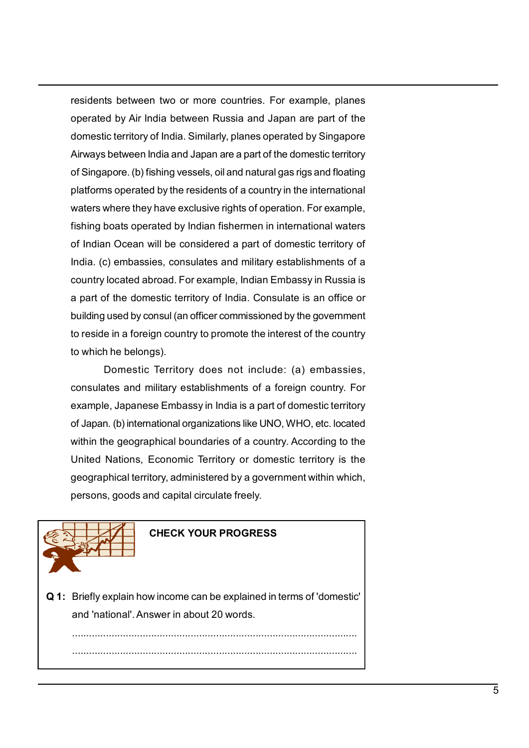residents between two or more countries. For example, planes<br>operated by Air India between Russia and Japan are part of the<br>domestic territory of India. Similarly, planes operated by Singapore<br>Airways between India and Jap residents between two or more countries. For example, planes<br>operated by Air India between Russia and Japan are part of the<br>domestic territory of India. Similarly, planes operated by Singapore<br>Airways between India and Jap residents between two or more countries. For example, planes<br>operated by Air India between Russia and Japan are part of the<br>domestic territory of India. Similarly, planes operated by Singapore<br>Airways between India and Jap residents between two or more countries. For example, planes<br>operated by Air India between Russia and Japan are part of the<br>domestic territory of India. Similarly, planes operated by Singapore<br>Airways between India and Jap residents between two or more countries. For example, planes<br>operated by Air India between Russia and Japan are part of the<br>domestic territory of India. Similarly, planes operated by Singapore<br>Airways between India and Jap residents between two or more countries. For example, planes<br>operated by Air India between Russia and Japan are part of the<br>domestic territory of India. Similarly, planes operated by Singapore<br>Airways between India and Jap residents between two or more countries. For example, planes<br>operated by Air India between Russia and Japan are part of the<br>domestic territory of India. Similarly, planes operated by Singapore<br>Airways between India and Jap residents between two or more countries. For example, planes<br>operated by Air India between Russia and Japan are part of the<br>domestic territory of India. Similarly, planes operated by Singapore<br>Airways between India and Jap residents between two or more countries. For example, planes<br>operated by Air India between Russia and Japan are part of the<br>domestic territory of India. Similarly, planes operated by Singapore<br>Airways between India and Jap residents between two or more countries. For example, planes<br>operated by Air India between Russia and Japan are part of the<br>domestic territory of India. Similarly, planes operated by Singapore<br>Airways between India and Jap residents between two or more countries. For example, planes<br>operated by Air India between Russia and Japan are part of the<br>domestic territory of India. Similarly, planes operated by Singapore<br>Airways between India and Jap residents between two or more countries. For example, planes<br>operated by Air India between Russia and Japan are part of the<br>domestic territory of India. Similarly, planes operated by Singapore<br>Airways between India and Jap residents between two or more countries. For example, planes<br>operated by Air India between Russia and Japan are part of the<br>domestic territory of India. Similarly, planes operated by Singapore<br>Airways between India and Jap residents between two or into te countries. To example, primare part of the domestic territory of India. Similarly, planes operated by Singapore Airways between India and Japan are a part of the domestic territory of Singa belongther and by All mala between Nussal and baptar are part of the<br>domestic territory of India. Similarly, planes operated by Singapore<br>Airways between India and Japan are a part of the domestic territory<br>of Singapore. ( between India and Japan are a part of the domestic territory<br>between India and Japan are a part of the domestic territory<br>paper. (b) fishing vessels, oil and natural gas rigs and floating<br>as operated by the residents of a Farmay bound and operation is and operation is a figure of a foreign platforms operated by the residents of a country in the international waters where they have exclusive rights of poeration. For example, fishing boats op or any appore. (primary ecsses), or an arreativative aparigation, the international<br>platforms operated by the residents of a country in the international<br>waters where they have exclusive rights of operation. For example,<br>f practions operated by increased and country international material material material fishing boats operated by Indian fishermen in international waters of Indian Ocean will be considered a part of domestic territory of Ind with the the private soculation is obteration. The example,<br>fishing boats operated by Indian fishermen in international waters<br>of Indian Ocean will be considered a part of domestic territory of<br>India, (c) embassies, consul

nsimy bous operator by instantination infinited matched and pair of of Indian Ocean will be considered a part of domestic territory of a<br>India, (c) embassies, consulates and military establishments of a<br>country located abr or instant occase with consulates and military establishments of a<br>noting, (c) embassies, consulates and military establishments of a<br>country located abroad. For example, Indian Embassy in Russia is<br>a part of the domestic mundare to remissarises, constants and mimarily establishments of an anti-<br>country located abroad. For example, Indian Embassy in Russia is<br>a part of the domestic territory of India. Consulate is an office or<br>building used onsul (an officer commissioned by the government<br>gn country to promote the interest of the country<br>gs).<br>Territory does not include: (a) embassies,<br>inilitary establishments of a foreign country. For<br>see Embassy in India is Domestic Territory does not include: (a) embassies,<br>consulates and military establishments of a foreign country. For<br>example, Japanese Embassy in India is a part of domestic territory<br>of Japan. (b) international organizati consulates and military establishments of a foreign country. For<br>example, Japanese Embassy in India is a part of domestic territory<br>of Japan. (b) international organizations like UNO, WHO, etc. located<br>within the geographi



.....................................................................................................

.....................................................................................................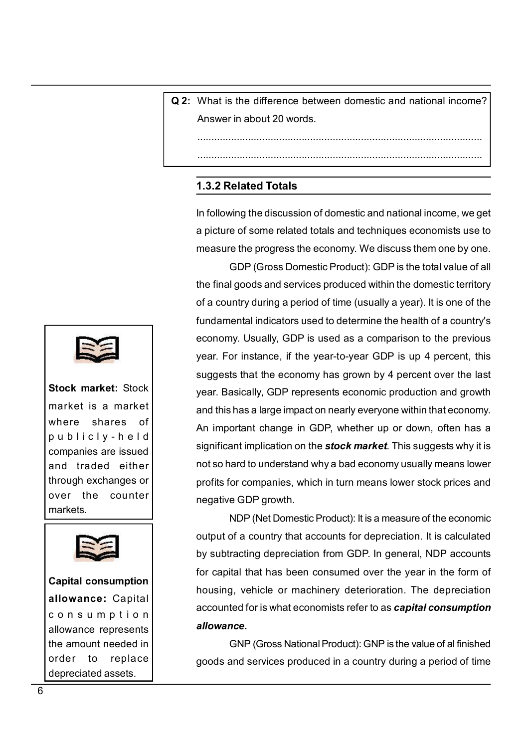Q 2: What is the difference between domestic and national income?<br>Answer in about 20 words. What is the difference between domestic and national income?<br>Answer in about 20 words.

.....................................................................................................

.....................................................................................................

What is the difference between domestic and national income?<br>Answer in about 20 words.<br><br><br>**1.3.2 Related Totals**<br>In following the discussion of domestic and national income, we get<br>a picture of some related totals and techn Vhat is the difference between domestic and national income?<br>
Answer in about 20 words.<br>
<br> **1.3.2 Related Totals**<br>
In following the discussion of domestic and national income, we get<br>
a picture of some related totals and t a picture of some related totals and techniques economists use to What is the difference between domestic and national income?<br>Answer in about 20 words.<br><br><br><br>**1.3.2 Related Totals<br>In following the discussion of domestic and national income, we get<br>a picture of some related totals and techn** 

From a difference between domestic and national income?<br>
The about 20 words.<br>
Comes and national income, and all incomestic and national income, we get<br>
the discussion of domestic and national income, we get<br>
e of some rel What is the difference between domestic and national income?<br>Answer in about 20 words.<br><br><br>**1.3.2 Related Totals**<br>In following the discussion of domestic and national income, we get<br>a picture of some related totals and techn What is the difference between domestic and national income?<br>
Answer in about 20 words.<br>
<br> **1.3.2 Related Totals**<br>
In following the discussion of domestic and national income, we get<br>
a picture of some related totals and t fundamental indicators used to determine the health of a country's Answer in about 20 words.<br> **Example 20** words.<br>
In following the discussion of domestic and national income, we get<br>
a picture of some related totals and techniques economists use to<br>
measure the progress the economy. We d **Example 12**<br> **Example 12**<br> **Example 12**<br> **Example 12**<br> **Example 12**<br> **Example 12**<br> **Example 12**<br> **Example 12**<br> **Example 12**<br> **Example 12**<br> **Example 12**<br> **Example 12**<br> **Example 12**<br> **Example 12**<br> **Example 12**<br> **Example 12 Example 12**<br> **Example 12**<br> **Example 12**<br> **Example 12**<br> **Example 12**<br> **Example 12**<br> **Example 12**<br> **Example 12**<br> **Example 12**<br> **Example 12**<br> **Example 12**<br> **Example 12**<br> **Example 12**<br> **Example 12**<br> **Example 12**<br> **Example 12** 1.3.2 Related Totals<br>In following the discussion of domestic and national income, we get<br>a picture of some related totals and techniques economists use to<br>measure the progress the economy. We discuss them one by one.<br>GDP ( **1.3.2 Related Totals**<br>In following the discussion of domestic and national income, we get<br>a picture of some related totals and techniques economists use to<br>measure the progress the economy. We discuss them one by one.<br>GDP In following the discussion of domestic and national income, we get<br>a picture of some related totals and techniques economists use to<br>measure the progress the economy. We discuss them one by one.<br>GDP (Gross Domestic Produc in lonowing the discussion of donesite and national metone, we get<br>a picture of some related totals and techniques economists use to<br>measure the progress the economy. We discuss them one by one.<br>GDP (Gross Domestic Product a pletate of some related todals and economycles economists due to<br>measure the progress the economy. We discuss them one by one.<br>
GDP (Gross Domestic Product): GDP is the total value of all<br>
the final goods and services pr measure the progress the economy. We discuss them to by one.<br>
GDP (Gross Domestic Product): GDP is the total value of all<br>
the final goods and services produced within the domestic territory<br>
of a country during a period o Four fields and services product). Surface to the the final goods and services produced within the domestic territory of a country during a period of time (usually a year). It is one of the fundamental indicators used to d Musical Services produced whim the domestic territory<br>
nntry during a period of time (usually a year). It is one of the<br>
nental indicators used to determine the health of a country's<br>
ny. Usually, GDP is used as a comparis or a country during a pentod of time (usually a year). It is one of the fundamental indicators used to determine the health of a country's economy. Usually, GDP is used as a comparison to the previous year. For instance, i by subtracting and the state in the contrine in the reality of economy. Usually, GDP is used as a comparison to the previous year. For instance, if the year-to-year GDP is up 4 percent, this suggests that the economy has g Economy. Usuany, UDT Is used as a comparison to the previous<br>year. For instance, if the year-to-year GDP is up 4 percent, this<br>suggests that the economy has grown by 4 percent over the last<br>year. Basically, GDP represents bear. For instance, it are year-to-year ODF is up  $\rightarrow$  percent, this suggests that the economy has grown by 4 percent over the last year. Basically, GDP represents economic production and growth and this has a large impac suggests and the economy has grown by 4 percent over the last<br>year. Basically, GDP represents economic production and growth<br>and this has a large impact on nearly everyone within that economy.<br>An important change in GDP, w **Example 12**<br> **Example 13.2 Related Totals**<br>
In following the discussion of domestic a<br>
a picture of some related totals and tec<br>
measure the progress the economy. We<br>
GDP (Gross Domestic Product):<br>
the final goods and ser **1.3.2 Related Totals**<br>
In following the discussion of domestic and national capitative of some related totals and techniques<br>
measure the progress the economy. We discuse<br>
GDP (Gross Domestic Product): GDP is<br>
the final In following the discussion of domestic and national in<br>
a picture of some related totals and techniques econ<br>
measure the progress the economy. We discuss the<br>
GDP (Gross Domestic Product): GDP is the to<br>
the final goods In following the discussion of domestic and national in<br>a picture of some related totals and techniques econo<br>measure the progress the economy. We discuss them<br>GDP (Gross Domestic Product): GDP is the tot<br>the final goods a a picture of some related totals and techniques<br>
measure the progress the economy. We discuss<br>
CDP (Gross Domestic Product): GDP is<br>
the final goods and services produced within the<br>
of a country during a period of time (u Franchise and the content of the content of the content of the final goods and services produced within the of a country during a period of time (usually a ye fundamental indicators used to determine the he economy. Usuall The through exchanges or<br>
The counter of the forestic Product): GDP is the total<br>
the final goods and services produced within the dom<br>
of a country during a period of time (usually a year).<br>
Inndamental indicators used to GDP (Gross Domestic Product): GDP is<br>
the final goods and services produced within the final goods and services produced within the of a country during a period of time (usually a<br>
fundamental indicators used to determine year. For instance, if the year-to-year of<br>stock market: Stock<br>market is a market<br>where shares of<br>publicity - held<br>companies are issued<br>and traded either<br>through exchanges or<br>publicity - held<br>significant implication on the Stock market: Stock<br>
market is a market<br>
where shares of<br>
public ly-head dishas a large impact on nearly everyone within time<br>
where shares of<br>
companies are issued<br>
companies are issued<br>
and traded either<br>
motion to hard

allowance. order the start of the start of the start of the start of the start is an antimum in the start of the start is on the start of the start of the start of the start of the start of the start of the value of or companies, whi Example in the standard of the standard why a bad significant implication on the **stock market**. This suggests why it is<br>and so hard to understand why a bad economy usually means lower<br>profits for companies, which in turn allowance: Capital housing, vehicle or machinery deterioration. The depreciation<br>accounted for is what economists refer to as capital consumption market is a market<br>
where shares of<br>
publicly-held<br>
companies are issued<br>
and traded either<br>
mords and traded either<br>
mords and traded either<br>
mords by sulficiation on the **stock market**<br>
over the counter<br>
over the counter where shares of<br>
publicly-held<br>
companies are issued<br>
significant important change in GDP, whether up or down<br>
and traded either<br>
and traded in for capital minicial<br>
through exchanges or<br>
profits for companies, which in tu publicly-held<br>
and traded either<br>
and traded either<br>
markets.<br>
and traded either<br>
markets.<br>
and traded either<br>
motso hard to understand why a bad economy<br>
profits for companies, which in turn means low<br>
markets.<br>
<br>
account Companies are issued<br>
and traded either<br>
through exchanges or<br>
the counter<br>
through exchanges or<br>
not so hard to understand why a bad econom<br>
profits for companies, which in turn means lo<br>
not so hard to understand why a b



markets.

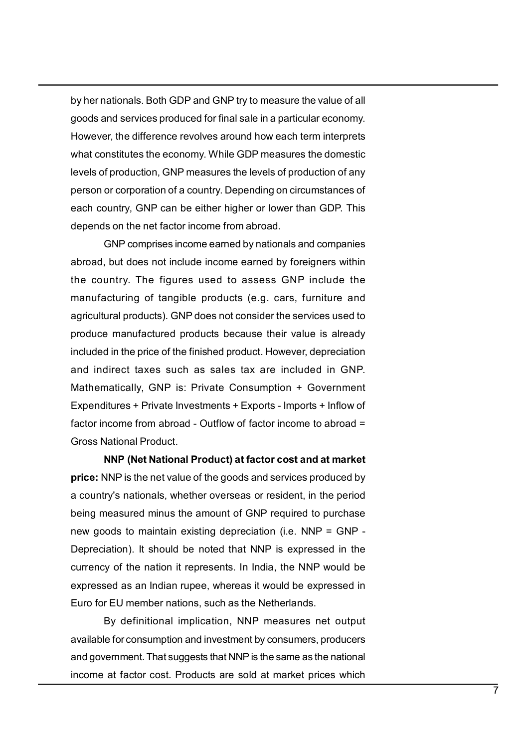by her nationals. Both GDP and GNP try to measure the value of all<br>goods and services produced for final sale in a particular economy.<br>However, the difference revolves around how each term interprets<br>what constitutes the e by her nationals. Both GDP and GNP try to measure the value of all<br>goods and services produced for final sale in a particular economy.<br>However, the difference revolves around how each term interprets<br>what constitutes the e by her nationals. Both GDP and GNP try to measure the value of all<br>goods and services produced for final sale in a particular economy.<br>However, the difference revolves around how each term interprets<br>what constitutes the e by her nationals. Both GDP and GNP try to measure the value of all<br>goods and services produced for final sale in a particular economy.<br>However, the difference revolves around how each term interprets<br>what constitutes the e by her nationals. Both GDP and GNP try to measure the value of all<br>goods and services produced for final sale in a particular economy.<br>However, the difference revolves around how each term interprets<br>what constitutes the e by her nationals. Both GDP and GNP try to measure the value of all<br>goods and services produced for final sale in a particular economy.<br>However, the difference revolves around how each term interprets<br>what constitutes the e by her nationals. Both GDP and GNP try to measure the value of all<br>goods and services produced for final sale in a particular economy.<br>However, the difference revolves around how each term interprets<br>what constitutes the e by her nationals. Both GDP and GNP try to measure the value of all<br>goods and services produced for final sale in a particular economy.<br>However, the difference revolves around how each term interprets<br>what constitutes the e ationals. Both GDP and GNP try to measure the value of all<br>and services produced for final sale in a particular economy.<br>Fr, the difference revolves around how each term interprets<br>anstitutes the economy. While GDP measure by her nationals. Both GDP and GNP try to measure the value of all<br>goods and services produced for final sale in a particular economy.<br>However, the difference revolves around how each term interprets<br>what constitutes the e by her nationals. Both GDP and GNP try to measure the value of all<br>goods and services produced for final sale in a particular economy.<br>However, the difference revolves around how each term interprets<br>what constitutes the e by her nationals. Both GDP and GNP try to measure the value of all<br>goods and services produced for final sale in a particular economy.<br>However, the difference revolves around how each term interprets<br>what constitutes the e by her nationals. Both GDP and GNP try to measure the value of all<br>goods and services produced for final sale in a particular economy.<br>However, the difference revolves around how each term interprets<br>what constitutes the e

by nor naturals. Dour Dor and Onty in ty ontectant was the value of air<br>goods and services produced for final sale in a particular economy.<br>However, the difference revolves around how each term interprets<br>what constitutes goods and services productors inner services around how each term interprets<br>thowever, the difference revolves around how each term interprets<br>the shall constitutes the economy. While GDP measures the domestic<br>levels of pr mowever, are university and the economy. While GDP measures the domestic<br>tevels of production, GNP measures the levels of production of any<br>person or corporation of a country. Depending on circumstances of<br>each country, GN mat consumity, while Consumity, while the displaced in domination of a levels of production, GNP measures the levels of production fany<br>person or corporation of a country. Depending on circumstances of<br>each country, GNP ca Expenditure, The Theorem of product and the priority. Depending on included the comprometries of each country. GNP can be either higher or lower than GDP. This depends on the net factor income from abroad.<br>
GNP comprises i person corporation a county. Copinally or incrementations of<br>each country, GNP can be either higher or lower than GDP. This<br>depends on the net factor income from abroad.<br>
GNP comprises income earned by nationals and compan each country, ontrival be entired ingired or ower than GDF. This<br>depends on the net factor income from abroad.<br>
GNP comprises income earned by nationals and companies<br>
abroad, but does not include income earned by foreigne GNP comprises income nourlabload.<br>
Lot does not include income earned by norejoners within<br>
that does not include income earned by foreigners within<br>
nutry. The figures used to assess GNP include the<br>
tracturing of tangibl For the mights and competent canced by free first and competent and and about does not include income earned by foreigners within<br>the country. The figures used to assess GNP include the<br>manufacturing of tangible products ( abucud, out obsertion the country's netwith country's netwith country's. The figures used to assess GNP include the manufacturing of tangible products (e.g. cars, furniture and agricultural products). GNP does not consider Enter country. The Triguet stock of assess Strittenture and<br>agriculturity of tangible products (e.g., cars, furniture and<br>agricultural products). GNP does not consider the services used to<br>produce manufactured products bec manutecuming of variations (i.e.). earls, runnicate and<br>approximate products (s. GNP does not consider the services used to<br>produce manufactured products because their value is already<br>included in the price of the finished

eyncominal products). Out locastion consider the services used to<br>included in the price of the finished product. However, depreciation<br>and indirect taxes such as sales tax are included in GNP.<br>Mathematically, GNP is: Priva proced manutation process because their direct in value is almost<br>and indirect taxes such as sales tax are included in GNP.<br>Mathematically, GNP is: Private Consumption + Government<br>Expenditures + Private Investments + Exp motodor in twistors of the ministro protocont interest, ceptrodator in GNP.<br>
Anathematically, GNP is: Private Consumption + Government<br>
Expenditures + Private Investments + Exports - Imports + Inflow of<br>
factor income from and mometric axiss solic as saists take Consumption + Government<br>
Expenditures: Private Diversiments + Exports - Imports + Inflow of<br>
factor income from abroad - Outflow of factor income to abroad =<br>
Gross National Product maticany, Ortr. Is. Thract Constainption T. Ocvernment<br>Intures + Private Investments + Exports - Imports + Inflow of<br>Income from abroad - Outflow of factor income to abroad =<br>Adional Product.<br>NNP (Net National Product) at Exploriations • Trivite investment of factor income to abroad = Gross National Product.<br> **Endors in Consumption and investment by consumption** and the Gross National Product.<br> **NDP (Net National Product) at factor cost and** and mother for an above of actor mother to assuance of Gross National Product.<br> **Since:** NNP [Net National Product) at factor cost and at market<br>
price: NNP is the net value of the goods and services produced by<br>
a country SINGS NEW INDIVENT FOODLOCIDED TO THE MINOT MAP (NET ADDITED: NNP is the net value of the goods and services produced by a country's nationals, whether overseas or resident, in the period being measured minus the amount of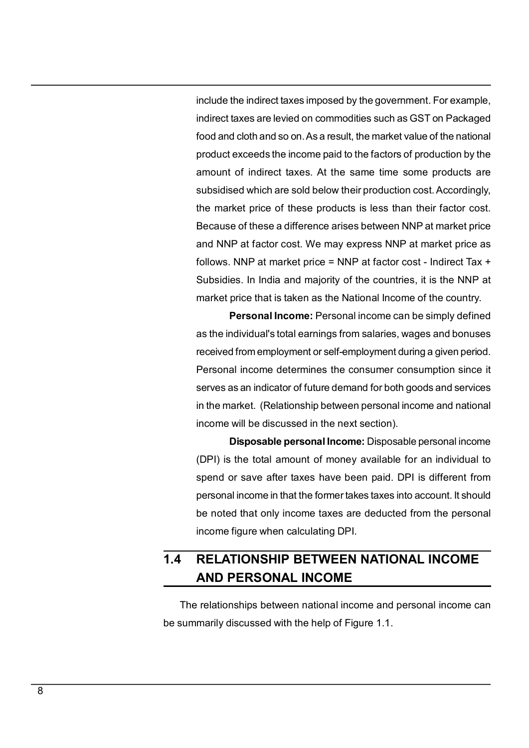include the indirect taxes imposed by the government. For example,<br>indirect taxes are levied on commodities such as GST on Packaged<br>food and cloth and so on. As a result, the market value of the national<br>product exceeds th include the indirect taxes imposed by the government. For example,<br>indirect taxes are levied on commodities such as GST on Packaged<br>food and cloth and so on. As a result, the market value of the national<br>product exceeds th include the indirect taxes imposed by the government. For example,<br>indirect taxes are levied on commodities such as GST on Packaged<br>food and cloth and so on. As a result, the market value of the national<br>product exceeds th include the indirect taxes imposed by the government. For example,<br>indirect taxes are levied on commodities such as GST on Packaged<br>food and cloth and so on. As a result, the market value of the national<br>product exceeds th include the indirect taxes imposed by the government. For example,<br>indirect taxes are levied on commodities such as GST on Packaged<br>food and cloth and so on. As a result, the market value of the national<br>product exceeds th include the indirect taxes imposed by the government. For example,<br>indirect taxes are levied on commodities such as GST on Packaged<br>food and cloth and so on. As a result, the market value of the national<br>product exceeds th include the indirect taxes imposed by the government. For example,<br>indirect taxes are levied on commodities such as GST on Packaged<br>food and cloth and so on. As a result, the market value of the national<br>product exceeds th include the indirect taxes imposed by the government. For example,<br>indirect taxes are levied on commodities such as GST on Packaged<br>food and cloth and so on. As a result, the market value of the national<br>product exceeds th include the indirect taxes imposed by the government. For example,<br>indirect taxes are levied on commodities such as GST on Packaged<br>food and cloth and so on. As a result, the market value of the national<br>product exceeds th include the indirect taxes imposed by the government. For example,<br>indirect taxes are levied on commodities such as GST on Packaged<br>food and cloth and so on. As a result, the market value of the national<br>product exceeds th include the indirect taxes imposed by the government. For example,<br>indirect taxes are levied on commodities such as GST on Packaged<br>food and cloth and so on. As a result, the market value of the national<br>product exceeds th include the indirect taxes imposed by the government. For example, indirect taxes are levied on commodities such as GST on Packaged food and cloth and so on. As a result, the market value of the national product exceeds th the indirect taxes imposed by the government. For example, taxes are levied on commodities such as GST on Packaged d cloth and so on. As a result, the market value of the national exceeds the income paid to the factors of mature the matted taxes imposed by the government. To example,<br>indirect taxes are levied on commodities such as GST on Packaged<br>food and cloth and so on. As a result, the market value of the national<br>product exceeds the in manet taxes are levied on commodites storras corrent diventiged<br>food and cloth and so on. As a result, the market value of the national<br>product exceeds the income paid to the factors of production by the<br>amount of indirect product exceeds the income paid to the factors of production by the amount of indirect taxes. At the same time some products are subsidised which are sold below their production cost. Accordingly, the market price of these product exceeds the income paid of the factors or production by the<br>amount of indirect taxes. At the same time some products are<br>subsidised which are sold below their production cost. Accordingly,<br>the market price of these infourt of interect taxes. At the same time some products are<br>subsidised which are sold below their production cost. Accordingly,<br>the market price of these products is less than their factor cost.<br>Because of these a differ

strangular minimizer sold below their production cost. Accordingly,<br>the market price of these a difference arises between NNP at market price<br>and NNP at factor cost. We may express NNP at market price as<br>follows. NNP at ma The price of these products is less train then factor cost.<br>
Le of these a difference arises between NNP at market price<br>
IP at factor cost. We may express NNP at market price as<br>
NNP at market price = NNP at factor cost -Because of these a dimetence anses between introductional and the total and NNP at factor cost. We may express NNP at market price as follows. NNP at market price = NNP at factor cost - Indirect Tax + Subsidies. In India a show at ractor cost. We may express rurit at rianced price as<br>follows. NNP at market price = NNP at factor cost - Indirect Tax +<br>Subsidies. In India and majority of the countries, it is the NNP at<br>market price that is take bullows. Notice at higher and majority of the countries, it is the NNP at market price that is taken as the National Income of the country.<br> **Personal Income:** Personal income can be simply defined as the individual's tota be noted that only income taxes are deducted from the personal income figure when calculating DFI.<br> **Reference that is taken as the National Income of the country.**<br> **Personal Income:** Personal income can be simply defined **Example 2013** and the reader and be interestingly.<br> **Personal Income:** Personal income can be simply defined<br>
as the individual's total earnings from salaries, wages and bonuses<br>
received from employment or self-employmen as the individual's total earnings from salaries, wages and bonuses<br>received from employment or self-employment during a given period.<br>Personal income determines the consumer consumption since it<br>serves as an indicator of

received from employment or self-employment during a given period.<br>Personal income determines the consumer consumption since it<br>serves as an indicator of future demand for both goods and services<br>in the market. (Relationsh The relationships between national income and personal income can<br>The relationship between personal income and national<br>income will be discussed in the next section).<br>Disposable personal Income: Disposable personal income<br> be summarily discussed with the help of Figure 1.1.<br>
be summarily discussed in the next section).<br> **Disposable personal Income:** Disposable personal income<br>
(DPI) is the total amount of money available for an individual to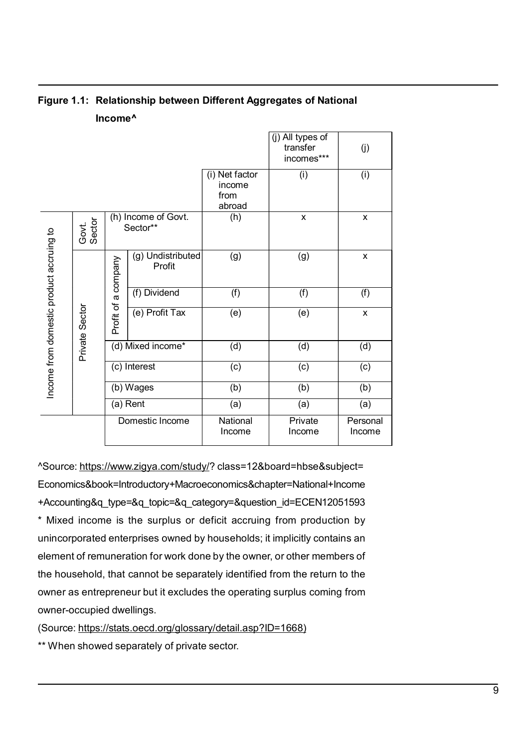| Figure 1.1: Relationship between Different Aggregates of National<br>Income <sup>^</sup><br>(j) All types of<br>transfer<br>(j)<br>incomes***<br>(i) Net factor<br>(i)<br>(i)<br>income<br>from<br>abroad<br>(h) Income of Govt.<br>(h)<br>X<br>X<br>Govt.<br>Sector<br>Sector**<br>ccruing to<br>(g) Undistributed<br>(g)<br>(g)<br>$\mathsf{X}$<br>a company<br>Profit<br>Income from domestic product a<br>(f)<br>(f) Dividend<br>(f)<br>(f)<br>Profit of<br>Private Sector<br>(e) Profit Tax<br>(e)<br>(e)<br>$\pmb{\mathsf{X}}$<br>(d) Mixed income*<br>(d)<br>(d)<br>(d)<br>(c) Interest<br>(c)<br>(c)<br>(c)<br>(b)<br>(b) Wages<br>(b)<br>(b)<br>(a) Rent<br>(a)<br>(a)<br>(a)<br>Domestic Income<br>National<br>Private<br>Personal<br>Income<br>Income<br>Income |                                                                           |  |  |                                                                         |  |
|----------------------------------------------------------------------------------------------------------------------------------------------------------------------------------------------------------------------------------------------------------------------------------------------------------------------------------------------------------------------------------------------------------------------------------------------------------------------------------------------------------------------------------------------------------------------------------------------------------------------------------------------------------------------------------------------------------------------------------------------------------------------------|---------------------------------------------------------------------------|--|--|-------------------------------------------------------------------------|--|
|                                                                                                                                                                                                                                                                                                                                                                                                                                                                                                                                                                                                                                                                                                                                                                            |                                                                           |  |  |                                                                         |  |
|                                                                                                                                                                                                                                                                                                                                                                                                                                                                                                                                                                                                                                                                                                                                                                            |                                                                           |  |  |                                                                         |  |
|                                                                                                                                                                                                                                                                                                                                                                                                                                                                                                                                                                                                                                                                                                                                                                            |                                                                           |  |  |                                                                         |  |
|                                                                                                                                                                                                                                                                                                                                                                                                                                                                                                                                                                                                                                                                                                                                                                            |                                                                           |  |  |                                                                         |  |
| ^Source: https://www.zigya.com/study/? class=12&board=hbse&subject=<br>Economics&book=Introductory+Macroeconomics&chapter=National+Income<br>+Accounting&q_type=&q_topic=&q_category=&question_id=ECEN12051593                                                                                                                                                                                                                                                                                                                                                                                                                                                                                                                                                             | * Mixed income is the surplus or deficit accruing from production by      |  |  |                                                                         |  |
|                                                                                                                                                                                                                                                                                                                                                                                                                                                                                                                                                                                                                                                                                                                                                                            |                                                                           |  |  |                                                                         |  |
|                                                                                                                                                                                                                                                                                                                                                                                                                                                                                                                                                                                                                                                                                                                                                                            |                                                                           |  |  |                                                                         |  |
|                                                                                                                                                                                                                                                                                                                                                                                                                                                                                                                                                                                                                                                                                                                                                                            |                                                                           |  |  |                                                                         |  |
|                                                                                                                                                                                                                                                                                                                                                                                                                                                                                                                                                                                                                                                                                                                                                                            |                                                                           |  |  |                                                                         |  |
|                                                                                                                                                                                                                                                                                                                                                                                                                                                                                                                                                                                                                                                                                                                                                                            |                                                                           |  |  |                                                                         |  |
|                                                                                                                                                                                                                                                                                                                                                                                                                                                                                                                                                                                                                                                                                                                                                                            |                                                                           |  |  |                                                                         |  |
|                                                                                                                                                                                                                                                                                                                                                                                                                                                                                                                                                                                                                                                                                                                                                                            |                                                                           |  |  |                                                                         |  |
|                                                                                                                                                                                                                                                                                                                                                                                                                                                                                                                                                                                                                                                                                                                                                                            |                                                                           |  |  |                                                                         |  |
|                                                                                                                                                                                                                                                                                                                                                                                                                                                                                                                                                                                                                                                                                                                                                                            |                                                                           |  |  |                                                                         |  |
|                                                                                                                                                                                                                                                                                                                                                                                                                                                                                                                                                                                                                                                                                                                                                                            | unincorporated enterprises owned by households; it implicitly contains an |  |  |                                                                         |  |
|                                                                                                                                                                                                                                                                                                                                                                                                                                                                                                                                                                                                                                                                                                                                                                            | element of remuneration for work done by the owner, or other members of   |  |  |                                                                         |  |
|                                                                                                                                                                                                                                                                                                                                                                                                                                                                                                                                                                                                                                                                                                                                                                            |                                                                           |  |  |                                                                         |  |
| the household, that cannot be separately identified from the return to the                                                                                                                                                                                                                                                                                                                                                                                                                                                                                                                                                                                                                                                                                                 |                                                                           |  |  | owner as entrepreneur but it excludes the operating surplus coming from |  |

# Income^

Economics&book=Introductory+Macroeconomics&chapter=National+Income +Accounting&q\_type=&q\_topic=&q\_category=&question\_id=ECEN12051593 element of remuneration for work done by the owner, or other members of remembers of remembers of remuneration for work done by the owner, or other members of the owner as entrepreneur but it excludes the operation for wor **Example 12** (d) Mixed income<br> **Example 12** (c) Interest<br>
(c) Interest<br>
(b) Wages<br>
(b) (b) (b) (c) (c)<br>
(a) Rent<br>
(a) Rent<br>
(a) (a) (a) (a) (a)<br>
Domestic Income<br>
Income<br>
Income<br>
Income<br>
Income<br> **Example 12** (a) (a)<br> **Exam** be (c) Interest (c) (c) (c) (c) (c)<br>
(b) Wages (b) (b) (c) (c) (c)<br>
(a) Rent (a) (a) (a) (a)<br>
Domestic Income National Private Personal<br>
Moome Income Personal<br>
Assurce: https://www.zigya.com/study/? class=12&board=hbse&sub Coloring (b) Wages (b) (b) (b) (b) (b)<br>
(a) Rent (a) (a) (a) (a) (a)<br>
Domestic Income National Private Personal<br>
Income Income Income Income<br>
Source: https://www.zigya.com/study/? class=12&board=hbse&subject=<br>
Economics&bo (Source: https://stats.oecd.org/glossary/detail.asp?ID=1668) Domestic Income<br>
Assource: https://www.zigya.com/study/? class=12&board=hbse&subject=<br>
Economics&book=Introductory+Macroeconomics&chapter=National+Income<br>
Accounting&q\_type=&q\_topic=&q\_category=&question\_id=ECEM12051593<br>
\*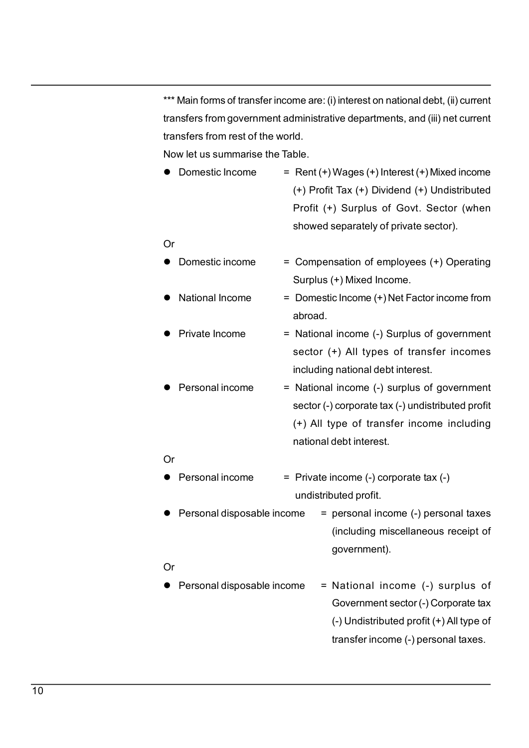\*\*\* Main forms of transfer income are: (i) interest on national debt, (ii) current<br>transfers from government administrative departments, and (iii) net current<br>transfers from rest of the world.<br>Now let us summarise the Tabl \*\*\* Main forms of transfer income are: (i) interest on national debt, (ii) current<br>transfers from government administrative departments, and (iii) net current<br>transfers from rest of the world.<br>Now let us summarise the Tab \*\*\* Main forms of transfer income are: (i) interest on national debt, (ii) current<br>
transfers from government administrative departments, and (iii) net current<br>
transfers from rest of the world.<br>
Now let us summarise the Nain forms of transfer income are: (i) interest on national debt, (ii) current<br>
transfers from government administrative departments, and (iii) net current<br>
transfers from rest of the world.<br>
Now let us summarise the Tab

\*\*\* Main forms of transfer income are: (i) interest on national debt, (ii) current<br>transfers from government administrative departments, and (iii) net current<br>transfers from rest of the world.<br>Now let us summarise the Tab me are: (i) interest on national debt, (ii) current<br>Iministrative departments, and (iii) net current<br>Id.<br>Die.<br>Rent (+) Wages (+) Interest (+) Mixed income<br>(+) Profit Tax (+) Dividend (+) Undistributed<br>Profit (+) Surplus of me are: (i) interest on national debt, (ii) current<br>Iministrative departments, and (iii) net current<br>Id.<br>Dele.<br>Rent (+) Wages (+) Interest (+) Mixed income<br>(+) Profit Tax (+) Dividend (+) Undistributed<br>Profit (+) Surplus o me are: (i) interest on national debt, (ii) current<br>Iministrative departments, and (iii) net current<br>Id.<br>ble.<br>Rent (+) Wages (+) Interest (+) Mixed income<br>(+) Profit Tax (+) Dividend (+) Undistributed<br>Profit (+) Surplus of <sup>\*\*\*</sup> Main forms of transfer income are: (i) interest on national debt, (ii) current<br>transfers from government administrative departments, and (iii) net current<br>transfers from rest of the world.<br>Now let us summarise the T me are: (i) interest on national debt, (ii) current<br>Iministrative departments, and (iii) net current<br>Id.<br>ble.<br>Rent (+) Wages (+) Interest (+) Mixed income<br>(+) Profit Tax (+) Dividend (+) Undistributed<br>Profit (+) Surplus of <p>\*\*\* Main forms of transfer income are: (i) interest on national debt, (ii) current transfers from government administrative departments, and (iii) net current transfers from rest of the world.</p>\n<p>Now let us summarise the Table.</p>\n<ul>\n<li>Domestic Income</li>\n<li>Part(+) Wages (+) Interest(+) Mixed income (+) Undistributed Profit (+) Surplus of Gott. Sector (when showed separately of private sector).</li>\n</ul>\n<p>Or</p>\n<p>Domestic income</p>\n<ul>\n<li>Comensation of employees (+) Operating Surplus (+) Mixed Income</li>\n</ul>\n<p>National Income</p>\n<ul>\n<li>National income</li>\n<li>Domestic income (+) Net Factor income from abroad.</li>\n</ul>\n<p>Private Income</p>\n<ul>\n<li>National income</li>\n<li>National income (+) Net Matriolans of ataster income are: (y) methods of ataster income transfers from government administrative departments, and (iii) net current<br>
transfers from rest of the world.<br>
Now let us summarise the Table.<br>
• Domestic I Infinishative departments, and (iii) net current<br>Id.<br>Ible.<br>Rent (+) Wages (+) Interest (+) Mixed income<br>(+) Profit Tax (+) Dividend (+) Undistributed<br>Profit (+) Surplus of Govt. Sector (when<br>showed separately of private se id:<br>
Net.<br>
Rent (+) Wages (+) Interest (+) Mixed income<br>
(+) Profit Tax (+) Dividend (+) Undistributed<br>
Profit (+) Surplus of Govt. Sector (when<br>
showed separately of private sector).<br>
Compensation of employees (+) Operati • Domestic Income = Rent (+) Wages (+) Interest (+) Mixed income (+) Profit Tax (+) Dividend (+) Undistributed<br>
Profit (+) Surplus of Govt. Sector (when<br>
showed separately of private sector).<br>
Or<br>
• Domestic income = Com

### Or

- - abroad.
		-
- recin(1) wages (1) interest(1) interest (1) Undistributed<br>
(+) Profit Tax (+) Dividend (+) Undistributed<br>
Profit (+) Surplus of Govt. Sector (when<br>
showed separately of private sector).<br>
Compensation of employees (+) Opera (+) Thom Hax (+) Dividend (+) Ontisandated<br>
Profit (+) Surplus of Govt. Sector (when<br>
showed separately of private sector).<br>
Compensation of employees (+) Operating<br>
Surplus (+) Mixed Income.<br>
Domestic Income (+) Net Facto Front (\*) Surplus of Govt. Sector (when<br>showed separately of private sector).<br>Compensation of employees (\*) Operating<br>Surplus (\*) Mixed Income.<br>Domestic Income (\*) Net Factor income from<br>abroad.<br>National income (-) Surplus 9 Domestic income = Compensation of employees (+) Operating<br>
9 Surplus (+) Mixed Income.<br>
9 National Income = Domestic Income (+) Net Factor income from<br>
abroad.<br>
9 Private Income = National income (-) Surplus of govern Comperisation of employees (1) Operating<br>Surplus (+) Mixed Income.<br>Domestic Income (+) Net Factor income from<br>abroad.<br>National income (-) Surplus of government<br>sector (+) All types of transfer incomes<br>ncluding national deb • National Income = Domestic Income (+) Net Factor income from<br>
• Private Income = National income (-) Surplus of government<br>
• Personal income = National income (-) surplus of government<br>
• Personal income = National in (income (ii) vect actor income nome<br>
(iii) all types of transfer incomes<br>
(iii) All types of transfer incomes<br>
(iii) all types of transfer incomes<br>
(iii) corporate tax (-) undistributed profit<br>
(ype of transfer income incl 9 Personal income<br>
• Personal income<br>
• National income (-) surplus of government<br>
sector (-) corporate tax (-) undistributed profit<br>
(+) All type of transfer income including<br>
or<br>
• Personal income = Private income (-) Final debt interest.<br>
I income (-) surplus of government<br>
ype of transfer income including<br>
debt interest.<br>
ncome (-) corporate tax (-)<br>
outed profit.<br>
personal income (-) personal taxes<br>
(including miscellaneous receipt o

## Or

- 
- government).

### Or

(-) sarplus of government<br>
(corporate tax (-) undistributed profit<br>
ype of transfer income including<br>
debt interest.<br>
ncome (-) corporate tax (-)<br>
uuted profit.<br>
personal income (-) personal taxes<br>
(including miscellaneous The of transfer income including<br>type of transfer income including<br>debt interest.<br>ncome (-) corporate tax (-)<br>outed profit.<br>personal income (-) personal taxes<br>(including miscellaneous receipt of<br>government).<br>National incom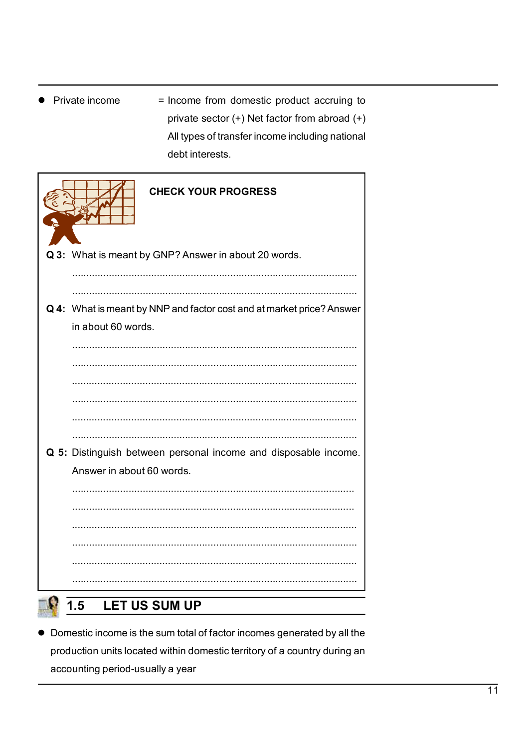= Income from domestic product accruing to • Private income private sector (+) Net factor from abroad (+) All types of transfer income including national debt interests.

| <b>CHECK YOUR PROGRESS</b>                                            |
|-----------------------------------------------------------------------|
| Q 3: What is meant by GNP? Answer in about 20 words.                  |
|                                                                       |
|                                                                       |
| Q 4: What is meant by NNP and factor cost and at market price? Answer |
| in about 60 words.                                                    |
|                                                                       |
|                                                                       |
|                                                                       |
|                                                                       |
|                                                                       |
| Q 5: Distinguish between personal income and disposable income.       |
| Answer in about 60 words.                                             |
|                                                                       |
|                                                                       |
|                                                                       |
|                                                                       |
|                                                                       |
|                                                                       |
|                                                                       |
| <b>LET US SUM UP</b><br>1.5                                           |

• Domestic income is the sum total of factor incomes generated by all the production units located within domestic territory of a country during an accounting period-usually a year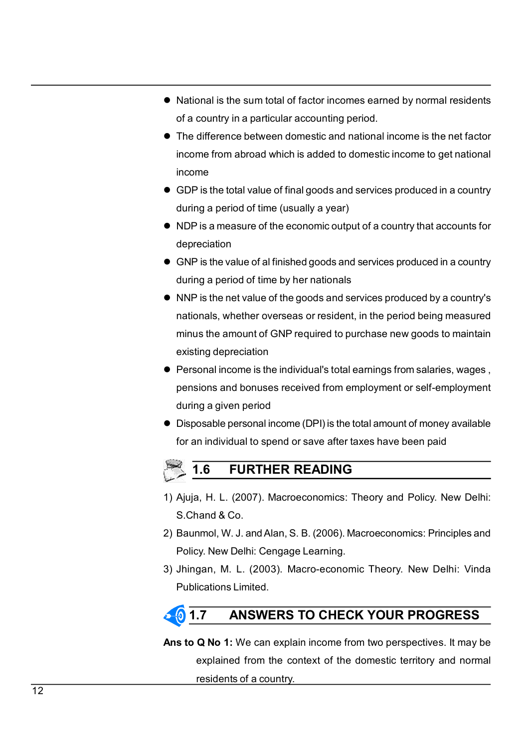- <ul>\n<li> National is the sum total of factor incomes earned by normal residents of a country in a particular accounting period.</li>\n<li> The difference between domestic and national income is the net factor income from abroad which is added to domestic income to get national</li>\n</ul>
- National is the sum total of factor incomes earned by normal residents<br>of a country in a particular accounting period.<br>The difference between domestic and national income is the net factor<br>income from abroad which is added <ul>\n<li> National is the sum total of factor incomes earned by normal residents of a country in a particular accounting period.</li>\n<li> The difference between domestic and national income is the net factor income from abroad which is added to domestic income to get national income.</li>\n<li> GDP is the total value of final goods and services produced in a country.</li>\n</ul> National is the sum total of factor incomes earned by normal residents<br>of a country in a particular accounting period.<br>The difference between domestic and national income is the net factor<br>income from abroad which is added income <ul>\n<li> National is the sum total of factor incomes earned by normal residents of a country in a particular accounting period.</li>\n<li> The difference between domestic and national income is the net factor income from abroad which is added to domestic income to get national income.</li>\n<li> GDP is the total value of final goods and services produced in a country during a period of time (usually a year)</li>\n<li> NDP is a measure of the economic output of a country that accounts for depreciation.</li>\n</ul> National is the sum total of factor incomes earned by normal residents<br>of a country in a particular accounting period.<br>The difference between domestic and national income is the net factor<br>income from abroad which is added <ul>\n<li> National is the sum total of factor incomes earned by normal residents of a country in a particular accounting period.</li>\n<li>The difference between domestic and national income is the net factor income from abroad which is added to domestic income to get national income.</li>\n<li> GDP is the total value of final goods and services produced in a country during a period of time (usually a year)</li>\n<li> NDP is a measure of the economic output of a country that accounts for depreciation.</li>\n<li> GNP is the value of a finished goods and services produced in a country during a period of time by her nations.</li>\n</ul> <ul>\n<li> National is the sum total of factor incomes earned by normal residents of a country in a particular accounting period.</li>\n<li> The difference between domestic and national income is the net factor income from abroad which is added to domestic income to get national income.</li>\n<li> GDP is the total value of final goods and services produced in a country during a period of time (usually a year)</li>\n<li> NDP is a measure of the economic output of a country that accounts for depreciation.</li>\n<li> GNP is the value of a finished goods and services produced in a country during a period of time by her nations.</li>\n<li> NNP is the net value of the goods and services produced by a country's nations, whether overseas or resident, in the period being measured.</li>\n</ul> National is the sum total of factor incomes earned by normal residents<br>of a country in a particular accounting period.<br>The difference between domestic and national income is the net factor<br>income<br>from abroad which is added
- 
- depreciation
- 
- <ul>\n<li>• National is the sum total of factor incomes earned by normal residents of a country in a particular accounting period.</li>\n<li>• The difference between domestic and national income is the net factor income from abroad which is added to domestic income to get national income.</li>\n<li>• GDP is the total value of final goods and services produced in a country during a period of time (usually a year)</li>\n<li>• NDP is a measure of the economic output of a country that accounts for depreciation.</li>\n<li>• GNP is the value of a finished goods and services produced in a country during a period of time by her nations.</li>\n<li>• NNP is the net value of the goods and services produced by a country's nations, whether overseas or resident, in the period being measured minus the amount of GNP required to purchase new goods to maintain existing depreciation.</li>\n</ul> National is the sum total of factor incomes earned by normal residents<br>of a country in a particular accounting period.<br>The difference between domestic and national income is the net factor<br>income from abroad which is added reational is the sum loan of ractor incomes earlied by hominal residents<br>of a country in a particular accounting period.<br>The difference between domestic and national income is the net factor<br>income from abroad which is add or a country in a particular accounting period.<br>The difference between domestic and national income is the net factor<br>income<br>from abroad which is added to domestic income to get national<br>income<br>GDP is the total value of fi ■ Interaction from abroad which is added to domestic income to get national<br>
income<br>
■ GDP is the total value of final goods and services produced in a country<br>
■ ONP is a measure of the economic output of a country that meone nonrabidad which is added to domestic income to germational<br>income<br>GDP is the total value of final goods and services produced in a country<br>during a period of time (usually a year)<br>NDP is a measure of the economic ou mome<br>
GDP is the total value of final goods and services produced in a country<br>
during a period of time (usually a year)<br>
NDP is a measure of the economic output of a country that accounts for<br>
depreciation<br>
GNP is the val ■ ODF is the total value of mining yous and services produced in a country<br>
■ NDP is a measure of the economic output of a country that accounts for<br>
■ NDP is the value of al finished goods and services produced in a coun MDP is a measure of the economic output of a country that accounts for<br>
depreciation<br>
GNP is the value of al finished goods and services produced in a country<br>
during a period of time by her nationals<br>
NNP is the net value reciation<br>
P is the value of al finished goods and services produced in a country<br>
ing a period of time by her nationals<br>
P is the net value of the goods and services produced by a country's<br>
ionals, whether overseas or re 1) Ajuja, H. L. (2007). Macroeconomics: Theory and Policy. New Delhi:<br>
9) Burnal and Service Special and Services produced by a country's<br>
1) Aluja, H. L. (2007). Macroeconomics: Theory and Policy. New Delhi:<br>
9) Personal NNP is the net value of the goods and services produced by a country's<br>nationals, whether overseas or resident, in the period being measured<br>minus the amount of GNP required to purchase new goods to maintain<br>existing depre 2) Baunmol, W. J. and Alan, S. B. (2006). Macroeconomics: Principles and Policy. New Delhi: Vinda Publications Limited.<br>
2) Dependence and Donuses received from employment or self-employment during a given period<br>
4 Dispos
- manus the amount of GNP required to purchase new goods to maintain<br>existing depreciation<br>Personal income is the individual's total earnings from salaries, wages,<br>pensions and bonuses received from employment or self-employ material existing depreciation<br>
Personal income is the individual's total earnings from salaries, wages,<br>
pensions and bonuses received from employment or self-employment<br>
during a given period<br>
Disposable personal income Personal income is the individual's total earnings from salaries, wages,<br>pensions and bonuses received from employment or self-employment<br>during a given period<br>Disposable personal income (DPI) is the total amount of money
- 

- 
- 
- 

nsions and bonuses received from employment or self-employment<br>ting a given period<br>posable personal income (DPI) is the total amount of money available<br>an individual to spend or save after taxes have been paid<br>1.6 FURTHER ● Disposable personal income (DPI) is the total amount of money available<br>for an individual to spend or save after taxes have been paid<br>1) Ajuja, H. L. (2007). Macroeconomics: Theory and Policy. New Delhi:<br>S.Chand & Co.<br>2 n individual to spend or save after taxes have been paid<br>
1.6 FURTHER READING<br>
3., H. L. (2007). Macroeconomics: Theory and Policy. New Delhi:<br>
annd & Co.<br>
mmol, W. J. and Alan, S. B. (2006). Macroeconomics: Principles and **1.6 FURTHER READING**<br> **EXECUTE A CONTROM FIND CONTROM CONTROM CONTROM CONTROM CONTROM CONTROM CONTROM CONTROM CONTROM CONTROM CONTROM CONTROM CONTROM CONTROM CONTROM CONTROM CONTROM CONTROM CONTROM CONTROM CONTROM CONTROM**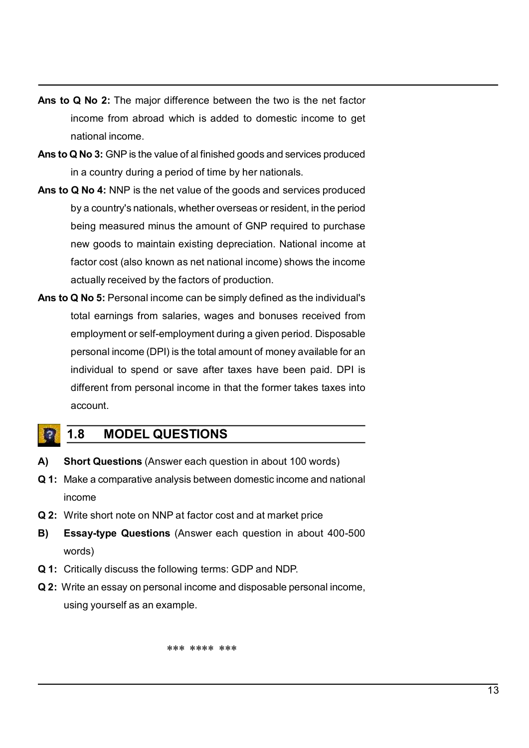- Ans to Q No 2: The major difference between the two is the net factor<br>income from abroad which is added to domestic income to get<br>national income.<br>Ans to Q No 3: GNP is the value of al finished goods and services produced **Q No 2:** The major difference between the two is the net factor<br>income from abroad which is added to domestic income to get<br>national income.<br>**Q No 3:** GNP is the value of al finished goods and services produced<br>in a count Q No 2: The major difference between the two is the net factor<br>income from abroad which is added to domestic income to get<br>national income.<br>Q No 3: GNP is the value of al finished goods and services produced<br>in a country d **Ans to Q No 2:** The major difference between the two is the net factor<br>income from abroad which is added to domestic income to get<br>national income.<br>**Ans to Q No 3:** GNP is the value of al finished goods and services produ Q No 2: The major difference between the two is the net factor<br>income from abroad which is added to domestic income to get<br>national income.<br>Q No 3: GNP is the value of al finished goods and services produced<br>in a country d
- 
- Ans to Q No 2: The major difference between the two is the net factor<br>income from abroad which is added to domestic income to get<br>national income.<br>Ans to Q No 3: GNP is the value of al finished goods and services produced<br> **Q No 2:** The major difference between the two is the net factor<br>income from abroad which is added to domestic income to get<br>rational income.<br>**Q No 3:** GNP is the value of al finished goods and services produced<br>in a count **Q No 2:** The major difference between the two is the net factor<br>income from abroad which is added to domestic income to get<br>rational income.<br>**Q No 3:** GNP is the value of al finished goods and services produced<br>in a count Q No 2: The major difference between the two is the net factor<br>income from abroad which is added to domestic income to get<br>national income.<br>Q No 3: GNP is the value of al finished goods and services produced<br>in a country d **Q No 2:** The major difference between the two is the net factor<br>income from abroad which is added to domestic income to get<br>antional income.<br>**Q No 3:** GNP is the value of al finished goods and services produced<br>in a count Q No 2: The major difference between the two is the net factor<br>income from abroad which is added to domestic income to get<br>national income.<br>Q No 3: GNP is the value of al finished goods and services produced<br>in a country d Ans to Q No 2: The major difference between the two is the net factor<br>income from abroad which is added to domestic income to get<br>national income.<br>Ans to Q No 3: GNP is the value of al finished goods and services produced<br> Q No 2: The major difference between the two is the net factor<br>income from abroad which is added to domestic income to get<br>national income.<br>Q No 3: GNP is the value of al finished goods and services produced<br>in a country d **COMPT A set all the many constant of the many complete self-employees and services and services and services produced**<br>in a country during a period of time by her nationals.<br>**Q No 4:** NNP is the net value of alt finished
- metrion in avoida which is added to domisate incorne to get<br> **a No 3:** GNP is the value of al finished goods and services produced<br>
in a country during a period of time by her nationals.<br> **Q No 4:** NNP is the net value of matorial microline.<br> **Q No 3:** GNP is the value of al finished goods and services produced<br> **in a country** during a period of time by her nationals.<br> **Q No 4:** NNP is the net value of the goods and services produced<br>
by a **CONTROL CONTROL CONTROL**<br> **CONTROL CONTROL**<br> **CONTROL CONTROL**<br> **CONTROL**<br> **CONTROL**<br> **CONTROL**<br> **CONTROL**<br> **CONTROL**<br> **CONTROL**<br> **CONTROL**<br> **CONTROL**<br> **CONTROL**<br> **CONTROL**<br> **CONTROL**<br> **CONTROL**<br> **CONTROL**<br> **CONTROL**<br> **CO** account. by a country's nationals, whether overseas or resident, in the period<br>being measured minus the amount of GNP required to purchase<br>new goods to maintain existing depreciation. National income at<br>factor cost (also known as n The mean of the matter and the mean of the mean of the mean of the mean of the mean of factor cost (also known as net national income) shows the income actually received by the factors of production.<br> **Ans to Q No 5:** Pers factor cost (also known as net national income) shows the income<br>actually received by the factors of production.<br>Ans to Q No 5: Personal income can be simply defined as the individual's<br>total earnings from salaries, wages **Ans to Q No 5:** Personal income can be simply defined as the individual's<br>total earnings from salaries, wages and bonuses received from<br>employment or self-employment during a given period. Disposable<br>personal income (DPI) total earnings from salaries, wages and bonuses received from<br>
employment or self-employment during a given period. Disposable<br>
personal income (DPI) is the total amount of money available for an<br>
individual to spend or sa Formation the following terms of the following terms and the form individual to spend or save after taxes have been paid. DPI is<br>different from personal income in that the former takes taxes into<br>account.<br>**1.8 MODEL QUESTI** individual to spend or save after taxes have been paid. DPI is<br>individual to spend or save after taxes have been paid. DPI is<br>different from personal income in that the former takes taxes into<br>account.<br>**4.3** MODEL QUESTION different from personal income in that the former takes taxes into<br>account.<br>
1.8 MODEL QUESTIONS<br>
Short Questions (Answer each question in about 100 words)<br>
Make a comparative analysis between domestic income and national<br>

- 
- income **JESTIONS**<br>wer each question in about 100 words)<br>alysis between domestic income and national<br>P at factor cost and at market price<br>is (Answer each question in about 400-500<br>Ilowing terms: GDP and NDP.<br>nonal income and dispo
- 
- words)
- 
-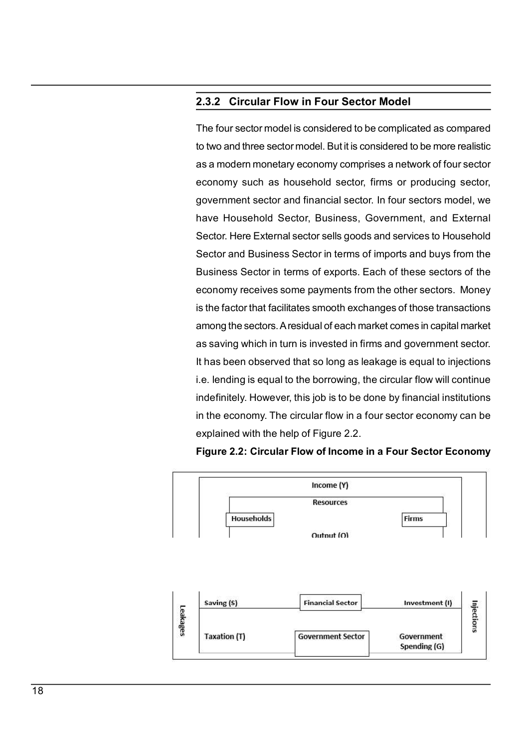2.3.2 Circular Flow in Four Sector Model<br>The four sector model is considered to be complicated as compared<br>to two and three sector model. But it is considered to be more realistic **2.3.2 Circular Flow in Four Sector Model**<br>The four sector model is considered to be complicated as compared<br>to two and three sector model. But it is considered to be more realistic<br>as a modern monetary economy comprises a **2.3.2 Circular Flow in Four Sector Model**<br>The four sector model is considered to be complicated as compared<br>to two and three sector model. But it is considered to be more realistic<br>as a modern monetary economy comprises a **2.3.2 Circular Flow in Four Sector Model**<br>The four sector model is considered to be complicated as compared<br>to two and three sector model. But it is considered to be more realistic<br>as a modern monetary economy comprises a **2.3.2 Circular Flow in Four Sector Model**<br>The four sector model is considered to be complicated as compared<br>to two and three sector model. But it is considered to be more realistic<br>as a modern monetary economy comprises a **2.3.2 Circular Flow in Four Sector Model**<br>The four sector model is considered to be complicated as compared<br>to two and three sector model. But it is considered to be more realistic<br>as a modern monetary economy comprises a **2.3.2 Circular Flow in Four Sector Model**<br>The four sector model is considered to be complicated as compared<br>to two and three sector model. But it is considered to be more realistic<br>as a modern monetary economy comprises a **Example 12.3.2 Circular Flow in Four Sector Model**<br>The four sector model is considered to be complicated as compared<br>to two and three sector model. But it is considered to be more realistic<br>as a modern monetary economy co **Example 12:3.2 Circular Flow in Four Sector Model**<br>The four sector model is considered to be complicated as compared<br>to two and three sector model. But it is considered to be more realistic<br>as a modern monetary economy co **2.3.2 Circular Flow in Four Sector Model**<br>The four sector model is considered to be complicated as compared<br>to two and three sector model. But it is considered to be more realistic<br>as a modern monetary economy comprises a **2.3.2 Circular Flow in Four Sector Model**<br>The four sector model is considered to be complicated as compared<br>to two and three sector model. But it is considered to be more realistic<br>as a modern monetary economy comprises a **2.3.2 Circular Flow in Four Sector Model**<br>The four sector model is considered to be complicated as compared<br>to two and three sector model. But it is considered to be more realistic<br>as a modern monetary economy comprises a **2.3.2 Circular Flow in Four Sector Model**<br>The four sector model is considered to be complicated as compared<br>to two and three sector model. But it is considered to be more realistic<br>as a modern monetary economy comprises a The four sector model is considered to be complicated as compared<br>to two and three sector model. But it is considered to be more realistic<br>as a modern monetary economy comprises a network of four sector<br>economy such as hou The boar sector intederis considered to be compineded as compared<br>to two and three sector model. But it is considered to be more realistic<br>as a modern monetary economy comprises a network of four sector<br>economy such as hou is the dimension model in butting considered to be more realistic<br>as a modern monetary economy comprises a network of four sector<br>economy such as household sector, firms or producing sector,<br>government sector and financial as a modern monetary economy compneses a network of rotar sector<br>economy such as household sector, firms or producing sector,<br>government sector and financial sector. In four sectors model, we<br>have Household Sector, Busines Economy stach as hotsehold sector, infins or producing sector, government sector and financial sector. In four sectors model, we have Household Sector, Business, Government, and External Sector. Here External sector sells government sector and minimals sector. In four sectors inoder, we<br>have Household Sector, Business, Government, and External<br>Sector .Here External sector sells goods and services to Household<br>Sector and Business Sector in t Frace Frotashold Sector, business, Obvernment, and External<br>Sector Here External sector sells goods and services to Household<br>Sector and Business Sector in terms of imports and buys from the<br>Business Sector in terms of exp

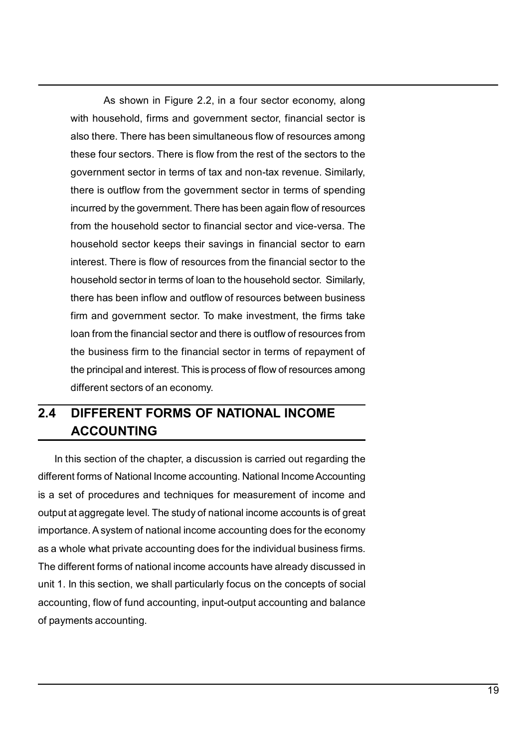As shown in Figure 2.2, in a four sector economy, along<br>usehold, firms and government sector, financial sector is<br>re. There has been simultaneous flow of resources among<br>pur sectors. There is flow from the rest of the sect As shown in Figure 2.2, in a four sector economy, along<br>with household, firms and government sector, financial sector is<br>also there. There has been simultaneous flow of resources among<br>these four sectors. There is flow fro As shown in Figure 2.2, in a four sector economy, along<br>with household, firms and government sector, financial sector is<br>also there. There has been simultaneous flow of resources among<br>these four sectors. There is flow fro As shown in Figure 2.2, in a four sector economy, along<br>with household, firms and government sector, financial sector is<br>also there. There has been simultaneous flow of resources among<br>these four sectors. There is flow fro As shown in Figure 2.2, in a four sector economy, along<br>with household, firms and government sector, financial sector is<br>also there. There has been simultaneous flow of resources among<br>these four sectors. There is flow fro As shown in Figure 2.2, in a four sector economy, along<br>with household, firms and government sector, financial sector is<br>also there. There has been simultaneous flow of resources among<br>these four sectors. There is flow fro As shown in Figure 2.2, in a four sector economy, along<br>with household, firms and government sector, financial sector is<br>also there. There has been simultaneous flow of resources among<br>these four sectors. There is flow fro As shown in Figure 2.2, in a four sector economy, along<br>with household, firms and government sector, financial sector is<br>also there. There has been simultaneous flow of resources among<br>these four sectors. There is flow fro As shown in Figure 2.2, in a four sector economy, along<br>with household, firms and government sector, financial sector is<br>also there. There has been simultaneous flow of resources among<br>these four sectors. There is flow fro As shown in Figure 2.2, in a four sector economy, along<br>with household, firms and government sector, financial sector is<br>also there. There has been simultaneous flow of resources among<br>these four sectors. There is flow fro As shown in Figure 2.2, in a four sector economy, along<br>with household, firms and government sector, financial sector is<br>also there. There has been simultaneous flow of resources among<br>these four sectors. There is flow fro As shown in Figure 2.2, in a four sector economy, along<br>with household, firms and government sector, financial sector is<br>also there. There has been simultaneous flow of resources among<br>these four sectors. There is flow fro As shown in Figure 2.2, in a four sector economy, along<br>with household, firms and government sector, financial sector is<br>also there. There has been simultaneous flow of resources among<br>these four sectors. There is flow fro Maxim in Figure 2.2, an a four-mode construction, a construction is<br>with household, firms and government sector, financial sector is<br>also there. There has been simultaneous flow of resources among<br>these four sectors. There what incussions, thins and government sector, insincial sectors is also there. There has been simultaneous flow fresources among these four sectors. There is flow from the rest of the sectors to the government sector in te the principal and interest. This increased with the principal and interest four sectors. There is flow from the rest of the sectors to the government sector in terms of tax and non-tax revenue. Similarly, there is outflow these four sectors. There is now nonfinerest of the sectors to the<br>government sector in terms of tax and non-tax revenue. Similarly,<br>there is outflow from the government sector in terms of spending<br>incurred by the governme there is outflow from the government sector in terms of spending<br>incurred by the government. There has been again flow of resources<br>from the household sector to financial sector and vice-versa. The<br>household sector keeps t In this sector the chapter is a discussion is matted as economic method sector the minderst. There is flow of resources from the financial sector to the household sector is terms of loan to the household sector. Similarly, In microscolor every site in savings in minicial sector to earn<br>interest. There is flow of resources from the financial sector of the<br>household sector in terms of loan to the household sector. Similarly,<br>there has been inf interest. There is how or resources horn three mandats sector of the mandat sector. Similarly, there has been inflow and outflow of resources between business firm and government sector. To make investment, the firms take

# ACCOUNTING

Interel has been informal of the interedential sector. Similarly,<br>there has been inflom and outflow of resources between business<br>firm and government sector. To make investment, the firms take<br>loan from the financial secto The man governminow and uculow of resolutions between business<br>firm and government sector. To make inversement, the firms take<br>loan from the financial sector and there is outflow of resources from<br>the business firm to the Final and government sector. To make investment, the finitials according the business firm to the financial sector in terms of repayment of the principal and interest. This is process of flow of resources among different s From the minimate recount and the file solution of the principal and interest. This is process of flow of resources among<br>the principal and interest. This is process of flow of resources among<br>different sectors of an econo The principal and interest. This is process of flow of resources among<br>the principal and interest. This is process of flow of resources among<br>different sectors of an economy.<br>2.4 DIFFERENT FORMS OF NATIONAL INCOME<br>ACCOUNTI The philologia and interest. This is plotess of how of resources aniong<br>different sectors of an economy.<br>**ACCOUNTING**<br>In this section of the chapter, a discussion is carried out regarding the<br>different forms of National In **EXECT SOF ANTIONAL INCOME<br>
ACCOUNTING**<br>
In this section of the chapter, a discussion is carried out regarding the<br>
different forms of National Income accounting. National Income Accounting<br>
is a set of procedures and tech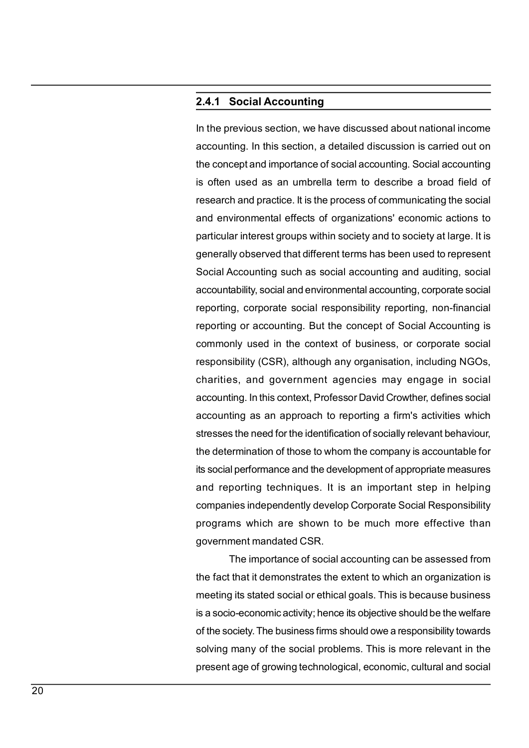2.4.1 Social Accounting<br>
In the previous section, we have discussed about national income<br>
accounting. In this section, a detailed discussion is carried out on **2.4.1 Social Accounting**<br>
In the previous section, we have discussed about national income<br>
accounting. In this section, a detailed discussion is carried out on<br>
the concept and importance of social accounting. Social acc **2.4.1 Social Accounting**<br>
In the previous section, we have discussed about national income<br>
accounting. In this section, a detailed discussion is carried out on<br>
the concept and importance of social accounting. Social acc **2.4.1 Social Accounting**<br>
In the previous section, we have discussed about national income<br>
accounting. In this section, a detailed discussion is carried out on<br>
the concept and importance of social accounting. Social acc **2.4.1 Social Accounting**<br>
In the previous section, we have discussed about national income<br>
accounting. In this section, a detailed discussion is carried out on<br>
the concept and importance of social accounting. Social acc **2.4.1 Social Accounting**<br>In the previous section, we have discussed about national income<br>accounting. In this section, a detailed discussion is carried out on<br>the concept and importance of social accounting. Social accoun **2.4.1 Social Accounting**<br>
In the previous section, we have discussed about national income<br>
accounting. In this section, a detailed discussion is carried out on<br>
the concept and importance of social accounting. Social acc **2.4.1 Social Accounting**<br>
In the previous section, we have discussed about national income<br>
accounting. In this section, a detailed discussion is carried out on<br>
the concept and importance of social accounting. Social acc **2.4.1 Social Accounting**<br>
In the previous section, we have discussed about national income<br>
accounting. In this section, a detailed discussion is carried out on<br>
the concept and importance of social accounting. Social acc **Example 12.4.1 Social Accounting**<br>
In the previous section, we have discussed about national income<br>
accounting. In this section, a detailed discussion is carried out on<br>
the concept and importance of social accounting. S **2.4.1 Social Accounting**<br>
In the previous section, we have discussed about national income<br>
accounting. In this section, a detailed discussion is carried out on<br>
the concept and importance of social accounting. Social acc **2.4.1 Social Accounting**<br>In the previous section, we have discussed about national income<br>accounting. In this section, a detailed discussion is carried out on<br>the concept and importance of social accounting. Social accoun **2.4.1 Social Accounting**<br>In the previous section, we have discussed about national income<br>accounting. In this section, a detailed discussion is carried out on<br>the concept and importance of social accounting. Social accoun In the previous section, we have discussed about national income<br>accounting. In this section, a detailed discussion is carried out on<br>the concept and importance of social accounting. Social accounting<br>is often used as an u rithe previous section, we have usedsseed about hadional incomic<br>accounting. In this section, a detailed discussion is carried out on<br>the concept and importance of social accounting. Social accounting<br>is often used as an u accounting. In this section, a detailed discussion is carried out on<br>the concept and importance of social accounting. Social accounting<br>is often used as an umbrella term to describe a broad field of<br>research and practice. accounting. Social accounting. Social accounting<br>is often used as an umbrella term to describe a broad field of<br>research and practice. It is the process of communicating the social<br>and environmental effects of organization as oten tased as an ambiedatem to describe a broad lied of<br>research and practice. It is the process of communicating the social<br>and environmental effects of organizations' economic actions to<br>particular interest groups wit research and practice. It is the process of communicating the social<br>and environmental effects of organizations' economic actions to<br>particular interest groups within society and to society at large. It is<br>generally observ and environmental enects or organizations economic actions to<br>particular interest groups within society and to society at large. It is<br>generally observed that different terms has been used to represent<br>Social Accounting su pericular interest groups within society and to society at range. This<br>generally observed that different terms has been used to represent<br>Social Accounting such as social accounting and auditing, social<br>accountability, soc Social Accounting such as social accounting and auditing, social<br>accountability, social and environmental accounting, corporate social<br>reporting, corporate social responsibility reporting, non-financial<br>reporting or accoun ocolar Accounting steri as social accounting and additing, social<br>accountability, social and environmental accounting, corporate social<br>reporting, corporate social responsibility reporting, non-financial<br>reporting or accou ecountrially, social and environmental ecocuting, corporate social<br>reporting, corporate social responsibility reporting, non-financial<br>reporting or accounting. But the concept of Social Accounting is<br>commonly used in the c reporting, corporate social responsionity reporting, non-infanctarieptorting or accounting. But the concept of Social Accounting is commonly used in the context of business, or corporate social responsibility (CSR), althou mly used in the context of business, or corporate social sibility (CSR), although any organisation, including NGOs, ss, and government agencies may engage in social ting. In this context, Professor David Crowther, defines commonly used in the collect or business, or corporate social<br>responsibility (CSR), although any organisation, including NGOs,<br>charities, and government agencies may engage in social<br>accounting as an approach to reporting responsionity (COT), antiodynt any organisation, including itcos,<br>charities, and government agencies may engage in social<br>accounting is m approach to reporting a firm's activities which<br>stresses the need for the identifica channes, and government agencies may engage in social<br>accounting. In this context, Professor David Crowther, defines social<br>accounting as an approach to reporting a firm's activities which<br>stresses the need for the identif accounting. In this collect, it rotessor David Crowtnet, definites social<br>accounting as an approach to reporting a firm's activities which<br>stresses the need for the identification of socially relevant behaviour,<br>the determ accounting as an applicant to reporting a infirs activities which stresses the need for the identification of socially relevant behaviour, the determination of those to whom the company is accountable for its social perfor

stresses the need for the dentification of socially relevant behaviour, the determination of those to whom the company is accountable for its social performance and the development of appropriate measures and reporting tec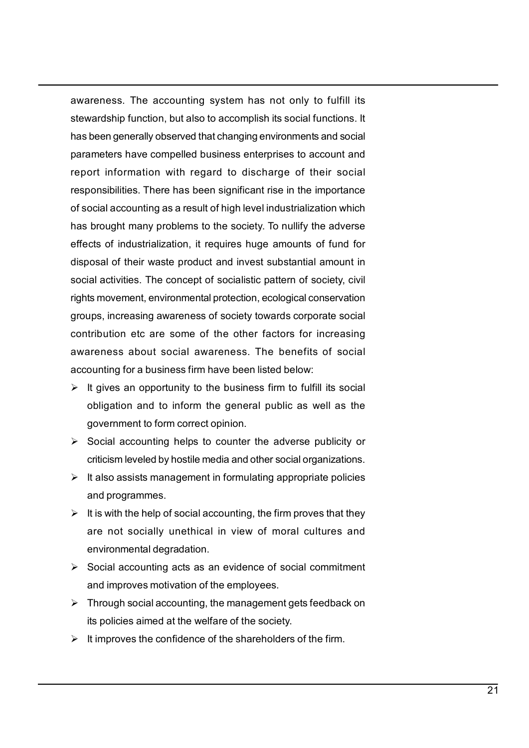awareness. The accounting system has not only to fulfill its<br>stewardship function, but also to accomplish its social functions. It<br>has been generally observed that changing environments and social<br>parameters have compelled awareness. The accounting system has not only to fulfill its<br>stewardship function, but also to accomplish its social functions. It<br>has been generally observed that changing environments and social<br>parameters have compelled awareness. The accounting system has not only to fulfill its<br>stewardship function, but also to accomplish its social functions. It<br>has been generally observed that changing environments and social<br>parameters have compelled awareness. The accounting system has not only to fulfill its<br>stewardship function, but also to accomplish its social functions. It<br>has been generally observed that changing environments and social<br>parameters have compelled awareness. The accounting system has not only to fulfill its<br>stewardship function, but also to accomplish its social functions. It<br>has been generally observed that changing environments and social<br>parameters have compelled awareness. The accounting system has not only to fulfill its<br>stewardship function, but also to accomplish its social functions. It<br>has been generally observed that changing environments and social<br>parameters have compelled awareness. The accounting system has not only to fulfill its<br>stewardship function, but also to accomplish its social functions. It<br>has been generally observed that changing environments and social<br>parameters have compelled awareness. The accounting system has not only to fulfill its<br>stewardship function, but also to accomplish its social functions. It<br>has been generally observed that changing environments and social<br>parameters have compelled awareness. The accounting system has not only to fulfill its<br>stewardship function, but also to accomplish its social functions. It<br>has been generally observed that changing environments and social<br>parameters have compelled awareness. The accounting system has not only to fulfill its<br>stewardship function, but also to accomplish its social functions. It<br>has been generally observed that changing environments and social<br>parameters have compelled awareness. The accounting system has not only to fulfill its<br>stewardship function, but also to accomplish its social functions. It<br>has been generally observed that changing environments and social<br>parameters have compelled awareness. The accounting system has not only to fulfill its<br>stewardship function, but also to accomplish its social functions. It<br>has been generally observed that changing environments and social<br>parameters have compelled awareness. The accounting system has not only to fulfill its<br>stewardship function, but also to accomplish its social functions. It<br>has been generally observed that changing environments and social<br>parameters have compelled stewardship function, but also to accomplish its social functions. It<br>these bendering function, but also to accomplish its social functions. It<br>has been generally observed that changing environments and social<br>parameters h social and the social social productions. The social and the social has been generally observed that changing environments and social parameters have compelled business enterprises to account and report information with re massocing business the actual propertion and social<br>parameters have compelled business enterprises to account and<br>report information with regard to discharge of their social<br>responsibilities. There has been significant ris persumes have complene ouslass energieses on excount and<br>responsibilities. There has been significant rise in the importance<br>of social accounting as a result of high level industrialization which<br>has brought many problems For information with regard to discursing to the information consibilities. There has been significant rise in the importance ocial accounting as a result of high level industrialization which brought many problems to the solisalisms. There has been signimeant itse in the importance<br>orial accounting as a result of high level industrialization which<br>brought many problems to the society. To nullify the adverse<br>cts of industrialization, it req or social accounting as a losaint or ingin term and saturatization, which adverse effects of industrialization, it requires huge amounts of fund for disposal of their waste product and invest substantial amount in social a social difficultation, it requires huge amounts of fund for<br>tots of industrialization, it requires huge amounts of fund for<br>operal of their waste product and invest substantial amount in<br>lal activities. The concept of soci brises or insustrimation, in tyquinos inger amoditor and ionination in social activities. The concept of socialistic pattern of society, civil<br>rights movement, environmental protection, ecological conservation<br>groups, in bosar of their waste product and invest substantial amount in<br>ial activities. The concept of socialistic pattern of society, civil<br>ts movement, environmental protection, ecological conservation<br>ups, increasing awareness of Social accounting, the social system of social accounting and environmental protection, ecological conservation<br>groups, increasing awareness of society towards corporate social<br>contribution etc are some of the other facto are notion that the society towards corporate social<br>ups, increasing awareness of society towards corporate social<br>tribution etc are some of the other factors for increasing<br>areness about social awareness. The benefits of Figure 1.1 Social accounting and the ending and the social and inproves the theories about social and and the factors for increasing areness about social awareness. The benefits of social and the distribution etc are some

- 
- 
- 
- Social accounting acts as an evidence of social commitment and in solid solid and waterness. The benefits of the employed of the business firm have been listed below:<br>
It gives an opportunity to the business firm to fulfill its social<br>
doligation and to inform or the general publi Social representation to the usiness immediate best in the twist.<br>  $\triangleright$  If gives an opportunity to the business firm to fulfill its social<br>
doligation and to inform the general public as well as the<br>
government to form is given an opportunity of the business limit to durin its social<br>displacion and to inform the general public as well as the<br>government to form correct opinion.<br>Social accounting helps to counter the adverse publicity or<br>c Supplacement to form correct optional public as well as the system and government to form correct option.<br>  $\triangleright$  Social accounting helps to counter the adverse publicity or<br>  $\triangleright$  It also assists management in formulati
- 
- 
-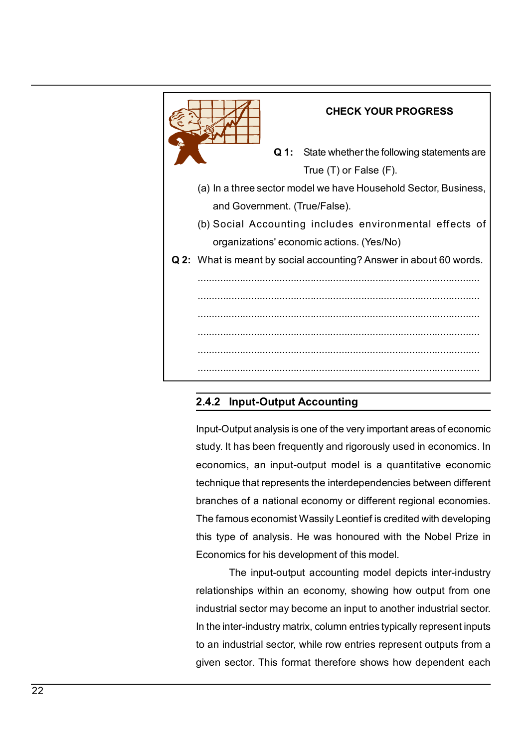

branches of a national economics for analysis. He was honoured with the Nobel Prize in Economics for analysis. He was honoured with the Nobel Prize in Economies of a national economy or different regional economies.<br>The fa The famous economist Wassily Leontief is medel depicts inter-<br>The famous experiment with the famous end of the very important areas of economic<br>study. It has been frequently and rigorously used in economics. In<br>economics, **Example 12**<br> **Example 12**<br> **Example 12**<br> **Example 12**<br> **Example 12**<br> **Example 12**<br> **Example 12**<br> **Example 12**<br> **Example 12**<br> **Example 12**<br> **Example 12**<br> **Example 12**<br> **Example 12**<br> **Example 12**<br> **Example 12**<br> **Example 12 Example 12**<br> **Example 12**<br> **Example 12**<br> **Example 12**<br> **Example 12**<br> **Example 12**<br> **Example 12**<br> **Example 12**<br> **Example 12**<br> **Example 12**<br> **Example 12**<br> **Example 12**<br> **Example 12**<br> **Example 12**<br> **Example 12**<br> **Example 12** Input-Output Accounting<br>
Input-Output Accounting<br>
utput analysis is one of the very important areas of economics. In<br>
inics, an input-output model is a quantitative economic<br>
ue that represents the interdependencies betwee **Example 12**<br> **Example:** Cutput Accounting<br>
Input-Output analysis is one of the very important areas of economic<br>
study. It has been frequently and rigorously used in economics. In<br>
economics, an input-output model is a qu **2.4.2 Input-Output Accounting**<br>
Input-Output analysis is one of the very important areas of economic<br>
study. It has been frequently and rigorously used in economics. In<br>
economics, an input-output model is a quantitative **2.4.2 Input-Output Accounting**<br>Input-Output analysis is one of the very important areas of economics study. It has been frequently and rigorously used in economics. In<br>economics, an input-output model is a quantitative ec Input-Output analysis is one of the very important areas of economic<br>study. It has been frequently and rigorously used in economics. In<br>economics, an input-output model is a quantitative economic<br>technique that represents mpar-orapar anarysis is one or the very important areas or economics tudy. It has been frequently and rigorously used in economics. In economics, an input-output model is a quantitative economic technique that represents t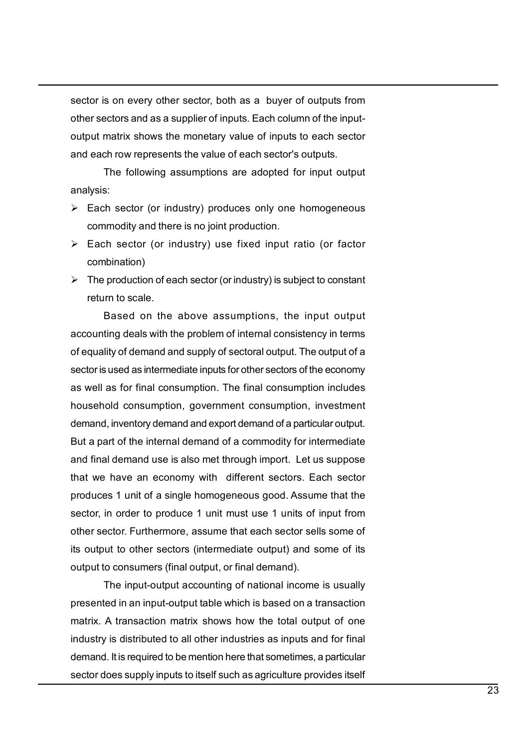sector is on every other sector, both as a buyer of outputs from<br>other sectors and as a supplier of inputs. Each column of the input-<br>output matrix shows the monetary value of inputs to each sector<br>and each row represents sector is on every other sector, both as a buyer of outputs from<br>other sectors and as a supplier of inputs. Each column of the input-<br>output matrix shows the monetary value of inputs to each sector<br>and each row represents sector is on every other sector, both as a buyer of outputs from<br>other sectors and as a supplier of inputs. Each column of the input-<br>output matrix shows the monetary value of inputs to each sector<br>and each row represents sector is on every other sector, both as a buyer of outputs from<br>other sectors and as a supplier of inputs. Each column of the input-<br>output matrix shows the monetary value of inputs to each sector<br>and each row represents The following assumption and the following and the following assumption of the input-<br>The following assumption of the input-matrix shows the monetary value of inputs to each sector<br>th row represents the value of each secto Sector is on every other sector, both as a buyer of outputs from<br>other sectors and as a supplier of inputs. Each column of the input-<br>output matrix shows the monetary value of inputs to each sector<br>and each row represents tor is on every other sector, both as a buyer of outputs from<br>Freedors and as a supplier of inputs. Each column of the input-<br>but matrix shows the monetary value of inputs to each sector<br>reach row represents the value of e sector is on every other sector, both as a buyer of outputs from<br>other sectors and as a supplier of inputs. Each column of the input-<br>output matrix shows the monetary value of ench sector's outputs.<br>The following assumpti Sector is on every other sector, both as a buyer of outputs from<br>
other sectors and as a supplier of inputs. Each column of the input-<br>
output matrix shows the monetary value of inputs to each sector<br>
and each row represe for is on every other sector, both as a buyer of outputs from<br>or sectors and as a supplier of inputs. Each column of the input-<br>out matrix shows the monetary value of inputs to each sector<br>each row represents the value of is on every other sector, both as a buyer of outputs from<br>ectors and as a supplier of inputs. Each column of the input-<br>matrix shows the monetary value of each sector's outputs.<br>The following assumptions are adopted for in

analysis:

- 
- combination)
- 

stator is on every other sector, bout as a culyer of douglas non-<br>output matrix shows the monetary value of inputs to each sector<br>and each row represents the value of each sector's outputs.<br>The following assumptions are a of extra and and supplied of inputs. Lead both that subset of the monetary value of singular other than the output<br>and each row represents the value of each sector's outputs.<br>The following assumptions are adopted for input section to the method of the sector is used as the presents the value of each sector's outputs.<br>
The following assumptions are adopted for input output<br>
analysis:<br>  $\triangleright$  Each sector (or industry) produces only one homoge and examples The following assumptions are adopted for input output<br>analysis:<br> $\triangleright$  Each sector (or industry) produces only one homogeneous<br>commodity and there is no joint production.<br> $\triangleright$  Each sector (or industry) use Analysis:<br>  $\triangleright$  Each sector (or industry) produces only one homogeneous<br>
commodity and there is no joint production.<br>  $\triangleright$  Each sector (or industry) use fixed input ratio (or factor<br>
combination)<br>  $\triangleright$  The productio interysis.<br>
► Each sector (or industry) produces only one homogeneous<br>
commodity and there is no joint production.<br>
► Each sector (or industry) use fixed input ratio (or factor<br>
combination)<br>
► The production of each sect Example to throusay pional commodity and the is in big commodity and the is in big fixed input ratio (or factor<br>  $\triangleright$  Each sector (or industry) use fixed input ratio (or factor<br>
commodity and each sector (or industry) i Each sector (or industry) use fixed input ratio (or factor<br>
combination)<br>  $\triangleright$  Encelector (or industry) is subject to constant<br>
return to scale.<br>
Based on the above assumptions, the input output<br>
accounting deals with t Example that we have a state and for industry and the scheme of the production of each sector (or industry) is subject to constant return to scale.<br>
Based on the above assumptions, the input output<br>
accounting deals with t The production of each sector (or industry) is subject to constant<br>
return to scale.<br>
Based on the above assumptions, the input output<br>
accounting deals with the problem of internal consistency in terms<br>
of equality of dem Frame to exact to the deal of indeasy), is subject to constant<br>return to scale.<br>Based on the above assumptions, the input output<br>accounting deals with the problem of internal consistency in terms<br>of equality of demand and From the sector. From the above assumptions, the input output<br>Based on the above assumptions, the input output<br>of equality of demand and supply of sectoral output. The output of a<br>sector is used as intermediate inputs for is our intereduced and the problem and consistency in terms of equality of demand and supply of sectoral output. The output of a<br>sector is used as intermediate inputs for other sectors of the economy<br>as well as for final c accounting useas wint ine plocement or internal contrastency in relating<br>estorts is used as intermediate inputs for other sectors of the economy<br>as well as for final consumption. The final consumption includes<br>household co my or dentant and stappty or sectoral dupta. The duptation as as for final consumption. The final consumption includes<br>as for final consumption. The final consumption includes<br>as for final consumption, government consumpti securi a user a simultime anglua the putation in the content security as well as for final consumption, government consumption, investment demand, inventory demand and export demand of a particular output.<br>But a part of th as well as in mate consumption. The final consumption includes<br>thousehold consumption, government consumption, investment<br>But a part of the internal demand of a commodity for intermediate<br>and final demand use is also met t industributed consult and experiment consuming to all particular output.<br>But a part of the internal demand of a commodity for intermediate<br>and final demand use is also met through import. Let us suppose<br>that we have an eco demand. Inventory demand and exportuement on a pandoan ounput.<br>But a part of the internal demand of a commodity for intermediate<br>and final demand use is also met through import. Let us suppose<br>that we have an economy with back eyen or the miscrian corration of a comminoury for informing to a define that we have an economy with different sectors. Each sector produces 1 unit of a single homogeneous good. Assume that the sector, in order to pr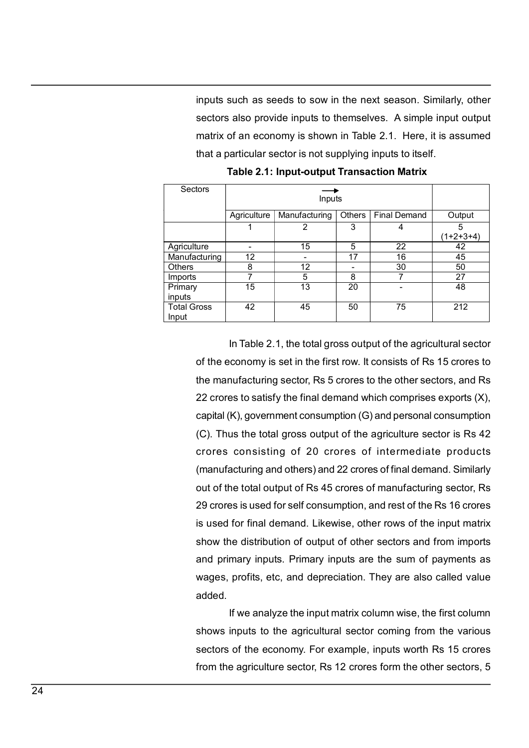inputs such as seeds to sow in the next season. Similarly, other<br>sectors also provide inputs to themselves. A simple input output<br>matrix of an economy is shown in Table 2.1. Here, it is assumed<br>that a particular sector is inputs such as seeds to sow in the next season. Similarly, other<br>sectors also provide inputs to themselves. A simple input output<br>matrix of an economy is shown in Table 2.1. Here, it is assumed<br>that a particular sector is matrix such as seeds to sow in the next season. Similarly, other<br>sectors also provide inputs to themselves. A simple input output<br>matrix of an economy is shown in Table 2.1. Here, it is assumed<br>that a particular sector is that a particular seeds to sow in the next season. Similarly, other<br>sectors also provide inputs to themselves. A simple input output<br>matrix of an economy is shown in Table 2.1. Here, it is assumed<br>that a particular sector such as seeds to sow in the next season. Similarly, other<br>
also provide inputs to themselves. A simple input output<br>
of an economy is shown in Table 2.1. Here, it is assumed<br>
particular sector is not supplying inputs to it

|                             |                 |                                                                  |                          | inputs such as seeds to sow in the next season. Similarly, other       |                  |
|-----------------------------|-----------------|------------------------------------------------------------------|--------------------------|------------------------------------------------------------------------|------------------|
|                             |                 |                                                                  |                          | sectors also provide inputs to themselves. A simple input output       |                  |
|                             |                 |                                                                  |                          | matrix of an economy is shown in Table 2.1. Here, it is assumed        |                  |
|                             |                 |                                                                  |                          |                                                                        |                  |
|                             |                 |                                                                  |                          | that a particular sector is not supplying inputs to itself.            |                  |
|                             |                 |                                                                  |                          | <b>Table 2.1: Input-output Transaction Matrix</b>                      |                  |
| Sectors                     |                 |                                                                  |                          |                                                                        |                  |
|                             |                 | Inputs                                                           |                          |                                                                        |                  |
|                             | Agriculture     | Manufacturing                                                    | <b>Others</b>            | <b>Final Demand</b>                                                    | Output           |
|                             | 1               | 2                                                                | 3                        | 4                                                                      | 5<br>$(1+2+3+4)$ |
| Agriculture                 | $\sim$          | 15                                                               | 5                        | 22                                                                     | 42               |
| Manufacturing               | $\overline{12}$ |                                                                  | $\overline{17}$          | 16                                                                     | 45               |
| Others                      | 8               | 12                                                               | $\overline{\phantom{a}}$ | 30                                                                     | 50               |
| Imports<br>Primary          | 7<br>15         | 5<br>$\overline{13}$                                             | 8<br>20                  | 7                                                                      | 27<br>48         |
| inputs                      |                 |                                                                  |                          |                                                                        |                  |
| <b>Total Gross</b><br>Input | 42              | 45                                                               | 50                       | $\overline{75}$                                                        | $\overline{212}$ |
|                             |                 |                                                                  |                          |                                                                        |                  |
|                             |                 |                                                                  |                          | In Table 2.1, the total gross output of the agricultural sector        |                  |
|                             |                 |                                                                  |                          | of the economy is set in the first row. It consists of Rs 15 crores to |                  |
|                             |                 |                                                                  |                          |                                                                        |                  |
|                             |                 |                                                                  |                          | the manufacturing sector, Rs 5 crores to the other sectors, and Rs     |                  |
|                             |                 |                                                                  |                          | 22 crores to satisfy the final demand which comprises exports (X),     |                  |
|                             |                 |                                                                  |                          |                                                                        |                  |
|                             |                 | capital (K), government consumption (G) and personal consumption |                          |                                                                        |                  |
|                             |                 |                                                                  |                          | (C). Thus the total gross output of the agriculture sector is Rs 42    |                  |
|                             |                 |                                                                  |                          | crores consisting of 20 crores of intermediate products                |                  |

(C). Thus the total gross output of the agriculture sector is Rs 42 1 2 3 4  $(1+2+3+4)$ <br>
ure  $\overline{)12}$  15 5 22 42<br>
during 12 - 17 16 45<br>
8 7 27<br>
15 5 8 7 27<br>
15 13 20 - 48<br>
noss 42 45 50 75 212<br>
In Table 2.1, the total gross output of the agricultural sector<br>
of the economy is set in the (manufacturing 12 cross of the RS 16 cross is used for self content in the RS 16 cross of final demand. Changes and the manufacturing sector, RS 5 crores to the changes exports (X), applied (K), government consumption (G) output of the total of the total output of the reactors is used for final demand. Likewise, other noves is used for final demand. Likewise, other noves is used for final demand. Likewise, other noves is used for final dem  $\frac{27}{15}$   $\frac{8}{13}$   $\frac{20}{20}$   $\frac{7}{75}$   $\frac{27}{48}$ <br>  $\frac{28}{128}$   $\frac{42}{45}$   $\frac{45}{50}$   $\frac{50}{75}$   $\frac{212}{212}$ <br>
In Table 2.1, the total gross output of the agricultural sector<br>
of the economy is set in the firs From the manufacturing set of the sum of the section. They are also called value<br>and primary inputs are the section, the manufacturing sector, Rs 5 crores to the distributed sectors, and Rs<br>22 crores to satisfy the final In Table 2.1, the total gross output of the agricultural sector<br>of the economy is set in the first row. It consists of Rs 15 crores to<br>the manufacturing sector, Rs 5 crores to the other sectors, and Rs<br>22 crores to satisfy In Table 2.1, the total gross output of the agricultural sector<br>of the economy is set in the first row. It consists of Rs 15 crores to<br>the manufacturing sector, Rs 5 crores to the other sectors, and Rs<br>22 crores to satisfy m rable 2.1, the loary loss output of the eglibutional sector<br>of the economy is set in the first row. It consists of Rs 15 crores to<br>the manufacturing sector, Rs 5 crores to the other sectors, and Rs<br>22 crores to satisfy t added. Ideaculting sector, its 5 croites to the onter sectors, and its<br>set to satisfy the final demand which comprises exports (X),<br>K), government consumption (G) and personal consumption<br>us the total gross output of the agricult Ez croices to satisfy the mial deminion compleses exports (x), capital (K), government consumption (G) and personal consumption (C). Thus the total gross output of the agriculture sector is Rs 42 crores consisting of 20 cr sephal (iv), government constription (c) and personal constription<br>(C). Thus the total gross output of the agriculture sector is Rs 42<br>crores consisting of 20 crores of intermediate products<br>(manufacturing and others) and (c). Thus are war gross output of the agriculture sector is its 42<br>crores consisting of 20 crores of intermediate products<br>(manufacturing and others) and 22 crores of manufacturing sector, Rs<br>29 crores is used for self con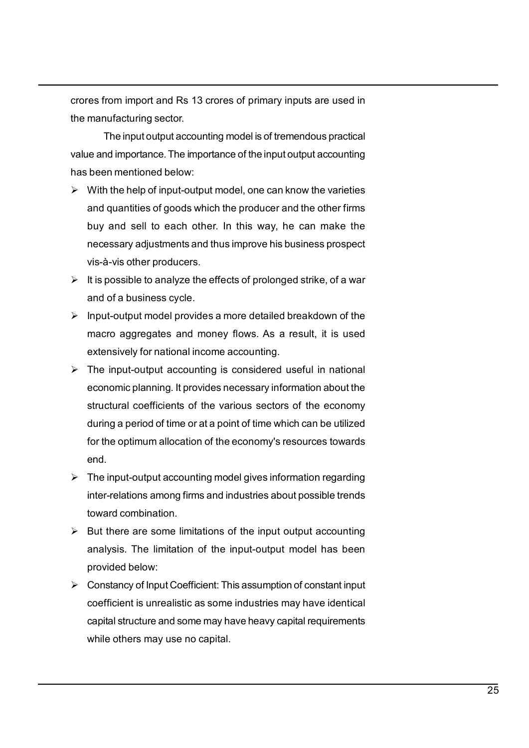crores from import and Rs 13 crores of primary inputs are used in<br>the manufacturing sector.<br>The input output accounting model is of tremendous practical<br>value and importance . The importance of the input output accounting

crores from import and Rs 13 crores of primary inputs are used in<br>the manufacturing sector.<br>The input output accounting model is of tremendous practical<br>value and importance. The importance of the input output accounting<br>h The input and Rs 13 crores of primary inputs are used in<br>
The input output accounting model is of tremendous practical<br>
The input output accounting model is of tremendous practical<br>
The input output accounting<br>
The mention crores from import and Rs 13 crores of primary inputs are used in<br>the manufacturing sector.<br>The input output accounting model is of tremendous practical<br>value and importance. The importance of the input output accounting<br>h crores from import and Rs 13 crores of primary inputs are used in<br>the manufacturing sector.<br>The input output accounting model is of tremendous practical<br>value and importance. The importance of the input output accounting<br>h

- crores from import and Rs 13 crores of primary inputs are used in<br>the manufacturing sector.<br>The input output accounting model is of tremendous practical<br>value and importance. The importance of the input output accounting<br>h res from import and Rs 13 crores of primary inputs are used in<br>manufacturing sector.<br>The input output accounting model is of tremendous practical<br>le and importance. The importance of the input output accounting<br>been mentio res from import and Rs 13 crores of primary inputs are used in<br>manufacturing sector.<br>The inputouput accounting model is of tremendous practical<br>eand importance. The importance of the input output accounting<br>been mentioned res from import and Rs 13 crores of primary inputs are used in<br>manufacturing sector.<br>The input output accounting model is of tremendous practical<br>e and importance. The importance of the input output accounting<br>been mention res from import and Rs 13 crores of primary inputs are used in<br>manufacturing sector.<br>The input output accounting model is of tremendous practical<br>te and importance. The importance of the input output accounting<br>been mentio Crores from import and Rs 13 crores of primary inputs are used in<br>the manufacturing sector.<br>The input output accounting model is of tremendous practical<br>value and importance. The importance of the input output accounting<br> res from import and Rs 13 crores of primary inputs are used in<br>manufacturing sector.<br>The input output accounting model is of tremendous practical<br>e and importance. The importance of the input output accounting<br>been mention **Insurance a mode of the manufacturing sector.**<br>
The imanufacturing sector.<br>
The input output accounting model is of tremendous practical<br>
value and importance. The importance of the input output accounting<br>
has been ment es non imput and trs 15 stores or pinnary inputs are used in<br>manufacturing sector.<br>The input output accounting model is of tremendous practical<br>earn dimportance. The importance of the input output accounting<br>been mentioned The input-output accounting model is of tremendous practical<br>e and importance. The importance of the input output accounting<br>been mentioned below:<br>With the help of input-output model, one can know the varieties<br>and quantit From the matrix dependence of the input decounting<br>and importance. The importance of the input output accounting<br>has been mentioned below:<br> $\triangleright$  With the help of input-output model, one can know the varieties<br>and quantit economic The mipontance of the mipotame of the mipontal excounting<br>With the help of input-output model, one can know the varieties<br>and quantities of goods which the producer and the other firms<br>buy and sell to each other.
- 
- 
- boutmined book.<br>With the help of input-output model, one can know the varieties<br>and quantities of goods which the producer and the other firms<br>buy and sell to each other. In this way, he can make the<br>necessary adjustments which the role of the point of the producer and the defer firms<br>and quantities of goods which the producer and the order firms<br>buy and sell to each other. In this way, he can make the<br>necessary adjustments and thus improve and quantities or goods wimit the pictuation. In this way, he can make the breedsing and sell to each other. In this way, he can make the mecessary adjustments and thus improve his business prospect vis-à-vis other produce end. The investmary and the producers and the effects of prolonged strike, of a war<br>
yis-a-vis other producers.<br>
> It is possible to analyze the effects of prolonged strike, of a war<br>
and of a business cycle.<br>
> Input-output m vises ourel produces.<br>
It is possible to analyze the effects of prolonged strike, of a war<br>
and of a business cycle.<br>
Input-output model provides a more detailed breakdown of the<br>
macro aggregates and money flows. As a res rta possible to allaryze the enects of prolonged strike, or a war<br>and of a business cycle.<br>Input-output model provides a more detailed breakdown of the<br>macro aggregates and money flows. As a result, it is used<br>extensively in the intertains of the input output accounting the input output model provides a more detailed breakdown of the macro aggregates and money flows. As a result, it is used extensively for national income accounting.<br>
► Th mpur-cumpur informaly prometers armore denained breakdown of the extensively for national income accounting.<br>The input-output accounting is considered useful in national<br>The input-output accounting is considered useful in macro aggregates and morey nows. As a result, it is used<br>extensively for national income accounting.<br>The input-output accounting is considered useful in national<br>economic planning. It provides necessary information about t Constant of the input-output accounting is considered useful in national<br>
Economic planning . It provides necessary information about the<br>
structural coefficients of the various sectors of the economy<br>
during a period of The imperator<br>put accounting is chromation in a both control in a both the economic planning. It provides necessary information about the<br>structural coefficients of the various sectors of the economy<br>during a period of tim ccurioning lamiting, in provides necessary information about the<br>structural coefficients of the various sectors of the economy<br>during a period of time or at a point of time which can be utilized<br>for the optimum allocation
- 
- 
- structural coenticients of the various sectors of the economy<br>during a period of time or at a point of time which can be utilized<br>for the optimum allocation of the economy's resources towards<br>may the input-output accountin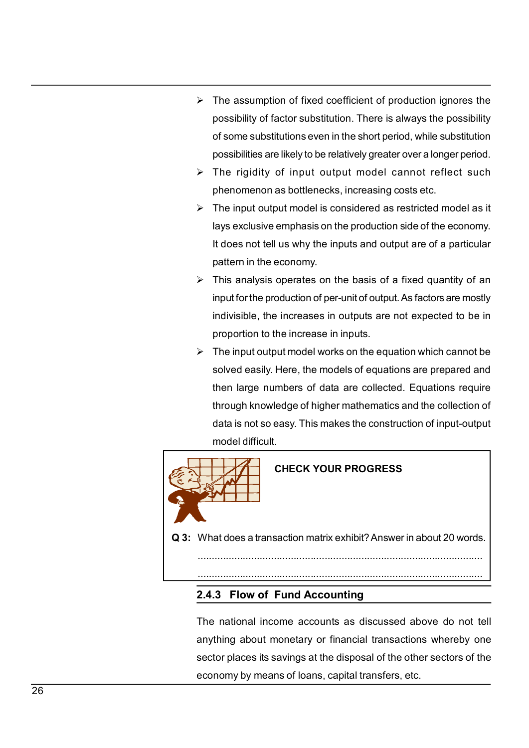- $\triangleright$  The assumption of fixed coefficient of production ignores the possibility of factor substitution. There is always the possibility of some substitutions even in the short period, while substitution possibilities are The assumption of fixed coefficient of production ignores the<br>possibility of factor substitution. There is always the possibility<br>of some substitutions even in the short period, while substitution<br>possibilities are likely The assumption of fixed coefficient of production ignores the<br>possibility of factor substitution. There is always the possibility<br>of some substitutions even in the short period, while substitution<br>possibilities are likely The assumption of fixed coefficient of production ignores the<br>possibility of factor substitution. There is always the possibility<br>of some substitutions even in the short period, while substitution<br>possibilities are likely The assumption of fixed coefficient of production ignores the<br>possibility of factor substitution. There is always the possibility<br>of some substitutions even in the short period, while substitution<br>possibilities are likely The assumption of fixed coefficient of production ignores the<br>possibility of factor substitution. There is always the possibility<br>of some substitutions even in the short period, while substitution<br>possibilities are likely The assumption of fixed coefficient of production ignores the<br>possibility of factor substitution. There is always the possibility<br>of some substitutions even in the short period, while substitution<br>possibilities are likely
- 
- The assumption of fixed coefficient of production ignores the<br>possibility of factor substitution. There is always the possibility<br>of some substitutions even in the short period, while substitution<br>possibilities are likely The assumption of fixed coefficient of production ignores the<br>possibility of factor substitution. There is always the possibility<br>of some substitutions even in the short period, while substitution<br>possibilities are likely The assumption of fixed coefficient of production ignores the<br>possibility of factor substitution. There is always the possibility<br>of some substitutions even in the short period, while substitution<br>possibilities are likely
- The assumption of fixed coefficient of production ignores the<br>possibility of actor substitution. There is always the possibility<br>of some substitutions even in the short period, while substitution<br>possibilities are likely The assumption of fixed coefficient of production ignores the<br>possibility of factor substitution. There is always the possibility<br>of some substitutions even in the short period, while substitution<br>possibilities are likely The assumption of fixed coefficient of production ignores the<br>possibility of factor substitution. There is always the possibility<br>of some substitutions even in the short period, while substitution<br>possibilities are likely The assumption of lixed coefficient of production ignores the<br>possibility of factor substitution. There is always the possibility<br>of some substitutions even in the short period, while substitution<br>possibilities are likely bossiumly of actor substitution. There is always are possibility<br>of some substitutions even in the short period, while substitution<br>possibilities are likely to be relatively greater over a longer period.<br> $\triangleright$  The rigidi
- by solved as likely to be relatively greater over a longer period.<br>The rigidity of input output model cannot reflect such<br>phenomenon as bottlenecks, increasing costs etc.<br>The input output model is considered as restricted possibilities are interly to be relatively greater over a longer period.<br>The rigidity of input output model cannot reflect such<br>phenomenon as bottlenecks, increasing costs etc.<br>The input output model is considered as restr The Higharty of Impate outpate moder cannot reneed such<br>phenomenon as bottlenecks, increasing costs etc.<br>The input output model is considered as restricted model as it<br>lays exclusive emphasis on the production side of the The input output model is considered as restricted model as it<br>The input output model is considered as restricted model as it<br>alys exclusive emphasis on the production side of the economy.<br>It does not tell us why the input The input output model is considered as restincted model as it<br>lays exclusive emphasis on the production side of the economy.<br>It does not tell us why the inputs and output are of a particular<br>pattern in the economy.<br>This a I us why the inputs and output are of a particular<br>economy.<br>operates on the basis of a fixed quantity of an<br>oduction of per-unit of output. As factors are mostly<br>a increases in outputs are not expected to be in<br>the increas

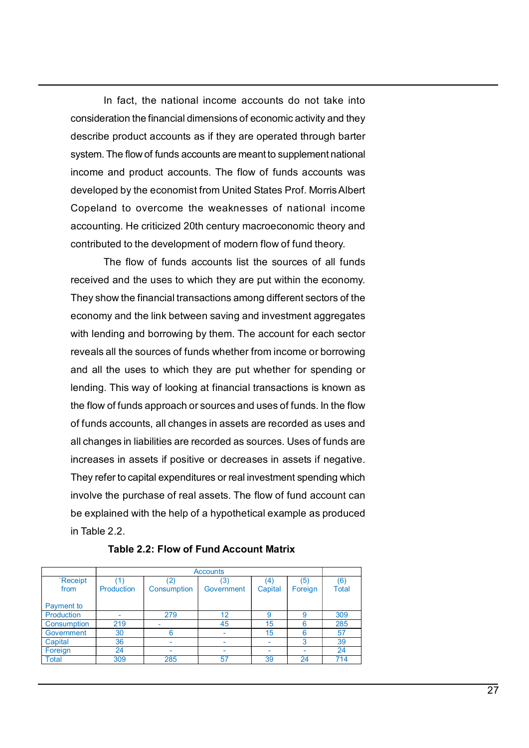In fact, the national income accounts do not take into<br>pration the financial dimensions of economic activity and they<br>e product accounts as if they are operated through barter<br>The flow of funds accounts are meant to supple In fact, the national income accounts do not take into<br>consideration the financial dimensions of economic activity and they<br>describe product accounts as if they are operated through barter<br>system. The flow of funds account In fact, the national income accounts do not take into<br>consideration the financial dimensions of economic activity and they<br>describe product accounts as if they are operated through barter<br>system. The flow of funds account In fact, the national income accounts do not take into<br>consideration the financial dimensions of economic activity and they<br>describe product accounts as if they are operated through barter<br>system. The flow of funds account In fact, the national income accounts do not take into<br>consideration the financial dimensions of economic activity and they<br>describe product accounts as if they are operated through barter<br>system. The flow of funds account In fact, the national income accounts do not take into<br>consideration the financial dimensions of economic activity and they<br>describe product accounts as if they are operated through barter<br>system. The flow of funds account In fact, the national income accounts do not take into<br>consideration the financial dimensions of economic activity and they<br>describe product accounts as if they are operated through barter<br>system. The flow of funds account In fact, the national income accounts do not take into<br>consideration the financial dimensions of economic activity and they<br>describe product accounts as if they are operated through barter<br>system. The flow of funds account In fact, the national income accounts do not take into<br>consideration the financial dimensions of economic activity and they<br>describe product accounts as if they are operated through barter<br>system. The flow of funds account In fact, the national income accounts do not take into<br>ration the financial dimensions of economic activity and they<br>e product accounts as if they are operated through barter<br>The flow of funds accounts are meant to supplem In fact, the national income accounts do not take into<br>consideration the financial dimensions of economic activity and they<br>describe product accounts as if they are operated through barter<br>system. The flow of funds account In fact, the national income accounts do not take into<br>consideration the financial dimensions of economic activity and they<br>describe product accounts as if they are operated through barter<br>system. The flow of funds account In fact, the national income accounts do not take into<br>consideration the financial dimensions of economic activity and they<br>describe product accounts as if they are operated through barter<br>system. The flow of funds account in read, the matural intensions of economic activity and they describe product accounts as if they are operated through barter system. The flow of funds accounts are meant to supplement national income and product accounts

Extrancementation in the source of the sources of the source of the source and the system. The flow of funds accounts are meant to supplement national income and product accounts. The flow of funds accounts was developed b asselian. The flow of funds accounts are in ury are opterated incompile and income and product accounts. The flow of funds accounts was developed by the economist from United States Prof. Morris Albert Copeland to overcome system. The low or lonsts accounts are herearic suppermentinational developed by the economist from United States Prof. Morris Albert Copeland to overcome the weaknesses of national income accounting. He criticized 20th ce meaning and process and the economist from United States Prof. Morris Albert Copeland to overcome the weaknesses of national income accounting. He criticized 20th century macroeconomic theory and contributed to the develop ecoepleard to evercome the weaknesses of national income<br>ecoepleard to evercome the weaknesses of national income<br>ecocunting. He criticized 20th century macroeconomic theory and<br>contributed to the development of modern flo counting. He criticized 20th centures we concontributed to the development of modern flow of fund theory.<br>
The flow of funds accounts list the sources of all funds<br>
received and the uses to which they are put within the ec ecounting: it clientecal correlation and y matter contributed to the development of modern flow of fund theory.<br>The flow of funds accounts list the sources of all funds<br>received and the uses to which they are put within th Experience of the socurits in the socurits in the socures of all funds<br>received and the uses to which they are put within the economy.<br>They show the financial transactions among different sectors of the<br>economy and the lin involve the matrix accounts sixt are sources of real matrims<br>They show the financial transactions among different sectors of the<br>economy and the link between saving and investment aggregates<br>with lending and borrowing by t Explained and the case of winding and the decompted and the excounts. They show the financial transactions among different sectors of the economy and the link between saving and investment aggregates with lending and borro incertigation and the link between saving and investment sectors of the<br>economy and the link between saving and investment aggregates<br>with lending and borrowing by them. The account for each sector<br>reveals all the sources of any of the mix between saving and investment aggregates<br>tiling and borrowing by them. The account for each sector<br>the uses to which they are put whether for spending or<br>the uses to which they are put whether for spendin and all changes in assets are recorded as such as the flow of funds approach or sources and uses of funds. In the flow<br>
of funds accounts, all changes in assets are recorded as uses and<br>
all changes in labilities are reco

|             |                   |             | <b>Accounts</b> |         |         |       |
|-------------|-------------------|-------------|-----------------|---------|---------|-------|
| `Receipt    |                   |             | (3)             | 4       | (5)     | (6)   |
| from        | <b>Production</b> | Consumption | Government      | Capital | Foreign | Total |
|             |                   |             |                 |         |         |       |
| Payment to  |                   |             |                 |         |         |       |
| Production  |                   | 279         | 12              |         | 9       | 309   |
| Consumption | 219               | -           | 45              | 15      |         | 285   |
| Government  | 30                |             |                 | 15      | R       | 57    |
| Capital     | 36                |             |                 |         |         | 39    |
| Foreign     | 24                |             |                 |         | ٠       | 24    |
| Total       | 309               | 285         | 57              | 39      | 24      | 714   |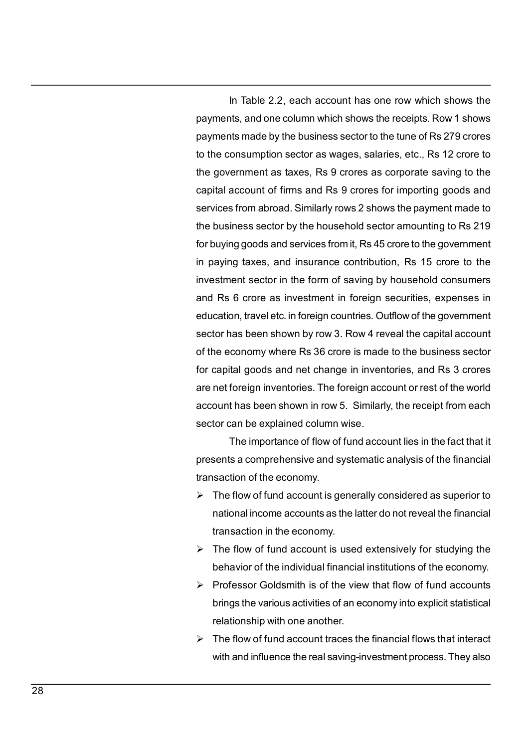In Table 2.2, each account has one row which shows the<br>the stand one column which shows the receipts. Row 1 shows<br>the made by the business sector to the tune of Rs 279 crores<br>onsumption sector as wages, salaries, etc., Rs In Table 2.2, each account has one row which shows the<br>payments, and one column which shows the receipts. Row 1 shows<br>payments made by the business sector to the tune of Rs 279 crores<br>to the consumption sector as wages, sa In Table 2.2, each account has one row which shows the<br>payments, and one column which shows the receipts. Row 1 shows<br>payments made by the business sector to the tune of Rs 279 crores<br>to the consumption sector as wages, sa In Table 2.2, each account has one row which shows the<br>payments, and one column which shows the receipts. Row 1 shows<br>payments made by the business sector to the tune of Rs 279 crores<br>to the consumption sector as wages, sa In Table 2.2, each account has one row which shows the<br>payments, and one column which shows the receipts. Row 1 shows<br>payments made by the business sector to the tune of Rs 279 crores<br>to the consumption sector as wages, sa In Table 2.2, each account has one row which shows the<br>payments, and one column which shows the receipts. Row 1 shows<br>payments made by the business sector to the tune of Rs 279 crores<br>to the consumption sector as wages, sa In Table 2.2, each account has one row which shows the payments, and one column which shows the receipts. Row 1 shows payments made by the business sector to the tune of Rs 279 crores to the consumption sector as wages, sa In Table 2.2, each account has one row which shows the<br>payments, and one column which shows the receipts. Row 1 shows<br>payments made by the business sector to the tune of Rs 279 crores<br>to the consumption sector as wages, sa In Table 2.2, each account has one row which shows the<br>payments, and one column which shows the receipts. Row 1 shows<br>payments made by the business sector to the tune of Rs 279 crores<br>to the consumption sector as wages, sa In Table 2.2, each account has one row which shows the<br>payments, and one column which shows the receipts. Row 1 shows<br>payments made by the business sector to the tune of Rs 279 crores<br>to the consumption sector as wages, sa In Table 2.2, each account has one row which shows the payments, and one column which shows the receipts. Row 1 shows payments made by the business sector to the tune of Rs 279 crores to the consumption sector as wages, sa In Table 2.2, each account has one row which shows the payments, and one column which shows the receipts. Row 1 shows payments made by the business sector to the tune of Rs 279 crores to the consumption sector as wages, sa In Table 2.2, each account has one row which shows the payments, and one column which shows the receipts. Row 1 shows payments made by the business sector to the tune of Rs 279 crores to the consumption sector as wages, sa In Trable 2.2, each account has one fow which shows the<br>payments, and one column which shows the receipts. Row 1 shows<br>payments made by the business sector to the tune of Rs 279 crores<br>to the consumption sector as wages, s payments, and one column which shows are receipts. Now 1 shows<br>payments made by the business sector to the tune of Rs 279 crores<br>to the consumption sector as wages, salaries, etc., Rs 12 crore to<br>the government as taxes, R playments made by the blashess sector to the time of this 275 crores<br>to the consumption sector as wages, salaries, etc., Rs 12 crore to<br>the government as taxes, Rs 9 crores as corporate saving to the<br>ecapital account of fi be the consumption sector as wages, salaries, e.c., its 12 crole to<br>the government as taxes, Rs 9 crores as corporate saving to the<br>capital account of firms and Rs 9 crores for importing goods and<br>services from abroad. Sim account of firms and Rs 9 croiss as colporate saving to the capital account of firms and Rs 9 croiss as colporate saving contespinate account of firms and Rs 9 croiss for mounting to Rs 219 for buying goods and services fr sephal account of minis and its 3 cloces for impolting goods and<br>services from abroad. Similarly rows 2 shows the payment made to<br>the business sector by the household sector amounting to Rs 219<br>for buying goods and service infinited to the household sector amounting to RS 21 stores are paymer that the set of the sector by the household sector amounting to Rs 219 and goods and services from it, Rs 45 crore to the government of graves, and ins for buying goods and services from it, Rs 45 crore to the government<br>in paying taxes, and insurance contribution, Rs 15 crore to the government<br>in paying taxes, and insurance contribution, Rs 15 crore to the<br>investment sec the biggeous and services normit, its 40 dote to the government<br>in paying goods and services normit, its 40 dote to the government<br>in paying graxes, and insurance contribution, Rs 15 crore to the<br>investment sector in the f In paying takes, and insulative continuation, its 15 clote to the<br>investment sector in the form of saving by household consumers<br>and Rs 6 crore as investment in foreign securities, expenses in<br>education, travel etc. in for nation account in the form of staving by holdsenota consumers<br>
Rs 6 crore as investment in foreign securities, expenses in<br>
cation, travel etc. in foreign countries. Outflow of the government<br>
ne conomy where Rs 36 crore i Transaction, travelete. In foreign securities, experises in<br>cation, travel etc. in foreign countries. Outflow of the government<br>for has been shown by row 3. Row 4 reveal the capital account<br>ne economy where Rs 36 crore is education, it averet the flow of fund accountests. Substitute the capital account<br>sector has been shown by row 3. Row 4 reveal the capital account<br>of the economy where Rs 36 crore is made to the business sector<br>for capital behavior of the individual financial institutions of the economy.<br>The economy where Rs 36 crore is made to the business sector<br>capital goods and net change in inventories, and Rs 3 crores<br>net foreign inventories. The forei For capital goods and net change in inventories, and Rs 3 cross<br>for capital goods and net change in inventories, and Rs 3 crores<br>are net foreign inventories. The foreign account or rest of the world<br>account has been shown brings the various and the change in inventones, and its 5 croles<br>net foreign inventories. The foreign account or rest of the world<br>ount has been shown in row 5. Similarly, the receipt from each<br>for can be explained column

relationship with ones. The lonely inaccount of rest of the world<br>ount has been shown in row 5. Similarly, the receipt from each<br>for can be explained column wise.<br>The importance of flow of fund account lies in the fact tha Sector can be explained column wise.<br>
Sector can be explained column wise.<br>
The importance of flow of fund account lies in the fact that it<br>
presents a comprehensive and systematic analysis of the financial<br>
transaction o The importance of flow of fund account lies in the fact that it<br>sents a comprehensive and systematic analysis of the financial<br>saction of the economy.<br>The flow of fund account is generally considered as superior to<br>nationa

- 
- 
- 
-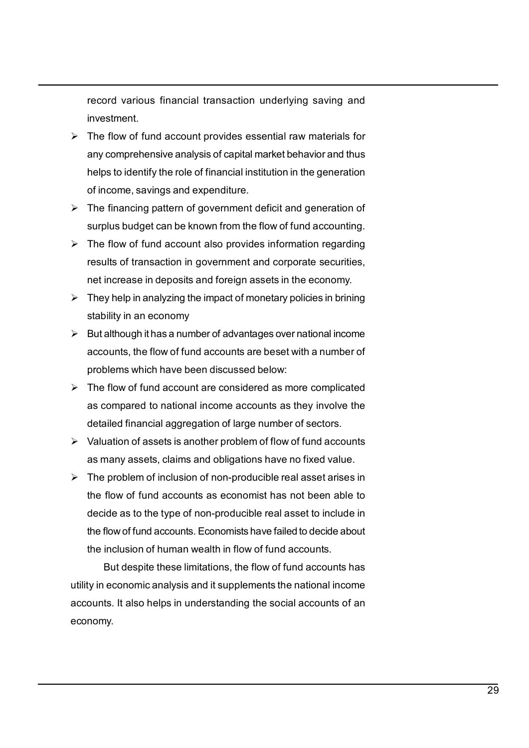record various financial transaction underlying saving and<br>investment.<br>The flow of fund account provides essential raw materials for<br>any comprehensive analysis of capital market behavior and thus investment.

- The flow of fund account provides essential raw materials for<br>
The flow of fund account provides essential raw materials for<br>
The flow of fund account provides essential raw materials for<br>
The flow of fund account provide record various financial transaction underlying saving and<br>investment.<br>The flow of fund account provides essential raw materials for<br>any comprehensive analysis of capital market behavior and thus<br>helps to identify the role record various financial transaction underlying saving and<br>investment.<br>The flow of fund account provides essential raw materials for<br>any comprehensive analysis of capital market behavior and thus<br>helps to identify the role record various financial transaction underlying saving and<br>investment.<br>The flow of fund account provides essential raw materials for<br>any comprehensive analysis of capital market behavior and thus<br>helps to identify the role The financial transaction underlying saving and<br>
∴<br>
The flow of fund account provides essential raw materials for<br>
<br>
The flow of fund account provides essential raw materials for<br>
<br>
any comprehensive analysis of capital m record various financial transaction underlying saving and<br>investment.<br>The flow of fund account provides essential raw materials for<br>any comprehensive analysis of capital market behavior and thus<br>helps to identify the role The flow of the flow of fund account provides essential raw materials for<br>
The flow of fund account provides essential raw materials for<br>
any comprehensive analysis of capital market behavior and thus<br>
helps to identify t record various financial transaction underlying saving and<br>investment.<br>The flow of fund account provides essential raw materials for<br>any comprehensive analysis of capital market behavior and thus<br>helps to identify the role record various financial transaction underlying saving and<br>investment.<br>The flow of fund account provides essential raw materials for<br>any comprehensive analysis of capital market behavior and thus<br>helps to identify the role From the state of material and the investment<br>
The flow of fund account provides essential raw materials for<br>
The flow of fund account provides essential raw materials for<br>
any comprehensive analysis of capital market beh record various financial transaction underlying saving and<br>investment.<br>The flow of fund account provides essential raw materials for<br>any comprehensive analysis of capital market behavior and thus<br>helps to identify the role Fractive and the discussion of a methylogy savity and<br>
investment.<br>
The flow of fund account provides essential raw materials for<br>
any comprehensive analysis of capital market behavior and thus<br>
helps to identify the role arrosomentical fits flow of fund account provides essential raw materials for rany comprehensive analysis of capital market behavior and thus helps to identify the role of financial institution in the generation of income, The niow of turn's account provious sessionial rare in internations for<br>any comprehensive analysis of capital market behavior and thus<br>helps to identify the role of financial institution in the generation<br>of income, saving
- 
- 
- 
- Experiences an any solution in the generation and subset of the flow of the flow of financial institution in the generation<br>
> The financing pattern of government deficit and generation of<br>
surplus budget can be known fro relation, saving the lotten of mindlent antialation in the generation<br>of since, savings and expenditure.<br>The financing pattern of government deficit and generation of<br>surplus budget can be known from the flow of fund accou or incourt, savings and experiment deficit and generation of<br>The financing pattern of government deficit and generation of<br>surplus budget can be known from the flow of fund accounting.<br>The flow of fund account also provide valuation by paramic valuation of system<br>intervaluation of the flow of fund accounting.<br>
Fine flow of fund account also provides information regarding<br>
results of transaction in government and corporate securities,<br>
net i sumpless bounget can be more in the first five formal account also provides information regarding<br>The flow of fund account also provides information regarding<br>results of transaction in government and corporate securities,<br>
- 
- 
- The more of rainal account asso power<br>as information of the economy.<br>
They help in analyzing the impact of monetary policies in brining<br>  $\blacktriangleright$  They help in analyzing the impact of monetary policies in brining<br>
stability resums or unansactor in government annoucly outer sectomes,<br>They help in analyzing the impact of monetary policies in brining<br>stabiilty in an economy<br>Studing than a number of advantages over national income<br>accounts, the f nce mane of the type is and looking assets in the economy.<br>They help in analyzing the impact of monetary policies in brining<br>stability in an economy<br>But although it has a number of advantages over national income<br>accounts, They heat and your standary policies in butuming<br>stability in an economy<br>But although it has a number of advantages over national income<br>accounts, the flow of fund accounts are beset with a number of<br>problems which have be stability in an exclusion<br>accounts, the flow of fund accounts are beset with a number of<br>accounts, the flow of fund accounts are beset with a number of<br>problems which have been discussed below:<br>The flow of fund account are anivogin trinsa a number of avoaringes over national micolne<br>sunts, the flow of fund accounts are beset with a number of<br>flow of fund account are considered as more complicated<br>flow of fund accounts are matched as more com couching, in the metal causal causal caused below:<br>
<br>
⇒ The flow of fund account are considered as more complicated<br>
as compared to national income accounts as they involve the<br>
detailed financial aggregation of large num accounts. It also helps in understanding the social accounts of an

economy.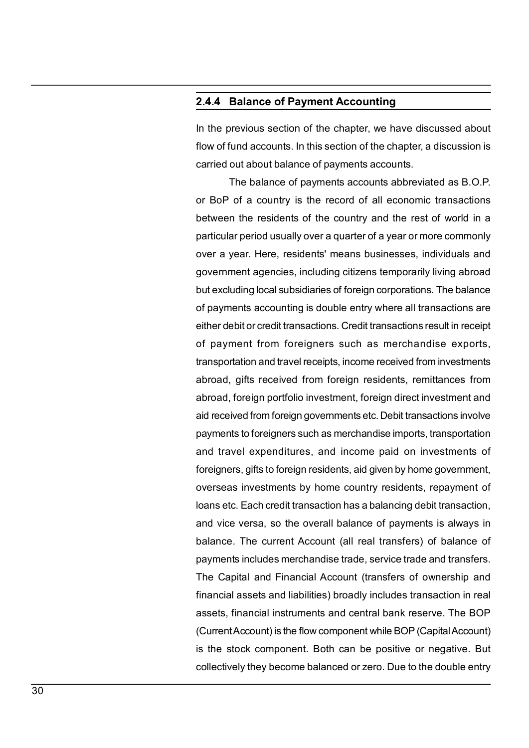2.4.4 Balance of Payment Accounting<br>
In the previous section of the chapter, we have discussed about<br>
flow of fund accounts. In this section of the chapter, a discussion is **2.4.4 Balance of Payment Accounting<br>
In the previous section of the chapter, we have discussed about<br>
flow of fund accounts. In this section of the chapter, a discussion is<br>
carried out about balance of payments accounts. Example 2.4.4 Balance of Payment Accounting**<br>
In the previous section of the chapter, we have discussed about<br>
flow of fund accounts. In this section of the chapter, a discussion is<br>
carried out about balance of payments **2.4.4 Balance of Payment Accounting**<br>In the previous section of the chapter, we have discussed about<br>flow of fund accounts. In this section of the chapter, a discussion is<br>carried out about balance of payments accounts.<br>T

**Balance of Payment Accounting**<br>
Devious section of the chapter, we have discussed about<br>
fund accounts. In this section of the chapter, a discussion is<br>
out about balance of payments accounts.<br>
The balance of payments acc **2.4.4 Balance of Payment Accounting**<br>
In the previous section of the chapter, we have discussed about<br>
flow of fund accounts. In this section of the chapter, a discussion is<br>
carried out about balance of payments accounts **2.4.4 Balance of Payment Accounting**<br>
In the previous section of the chapter, we have discussed about<br>
flow of fund accounts. In this section of the chapter, a discussion is<br>
carried out about balance of payments accounts **2.4.4 Balance of Payment Accounting**<br>
In the previous section of the chapter, we have discussed about<br>
flow of fund accounts. In this section of the chapter, a discussion is<br>
carried out about balance of payments accounts **2.4.4 Balance of Payment Accounting**<br>
In the previous section of the chapter, we have discussed about<br>
flow of fund accounts. In this section of the chapter, a discussion is<br>
carried out about balance of payments accounts **2.4.4 Balance of Payment Accounting**<br>In the previous section of the chapter, we have discussed about<br>flow of fund accounts. In this section of the chapter, a discussion is<br>carried out about balance of payments accounts.<br>T **2.4.4 Balance of Payment Accounting**<br>
In the previous section of the chapter, we have discussed about<br>
flow of fund accounts. In this section of the chapter, a discussion is<br>
carried out about balance of payments accounts **2.4.4 Balance of Payment Accounting**<br>In the previous section of the chapter, we have discussed about<br>flow of fund accounts. In this section of the chapter, a discussion is<br>carried out about balance of payments accounts.<br>T **2.4.4 Balance of Payment Accounting**<br>In the previous section of the chapter, we have discussed about<br>flow of fund accounts. In this section of the chapter, a discussion is<br>carried out about balance of payments accounts.<br>T In the previous section of the chapter, we have discussed about<br>flow of fund accounts. In this section of the chapter, a discussion is<br>carried out about balance of payments accounts.<br>The balance of payments accounts abbrev the previous section of the chapter, we have discussed about<br>flow of fund accounts. In this section of the chapter, a discussion is<br>carried out about balance of payments accounts.<br>The balance of payments accounts abbreviat now original accounts. In this section of the chapter, a discussion is<br>carried out about balance of payments accounts.<br>The balance of payments accounts abbreviated as B.O.P.<br>or BoP of a country is the record of all economi calined out about balance of paymerins accounts.<br>The balance of payments accounts abbreviated as B.O.P.<br>or BoP of a country is the record of all economic transactions<br>between the residents of the country and the rest of wo From Barance of payments accounts abbreviated as D.O.T.<br>The barance of payments accounts abbreviated as D.O.T.<br>Between the residents of the country and the rest of world in a<br>particular period usually over a quarter of a y between the residents of the country and the rest of world in a<br>particular period usually over a quarter of a year or more commonly<br>over a year. Here, residents' means businesses, individuals and<br>government agencies, inclu between the restaems of the country and the rest of world in a<br>particular period usually over a quarter of a year or more commonly<br>over a year. Here, residents' means businesses, individuals and<br>government agencies, includ particular period usatary over a quarter or a year or increed commonly<br>over a year. Here, residents' means businesses, individuals and<br>government agencies, including citizens temporarily living abroad<br>but excluding local s over a year. Here, residents means businesses, individuals and<br>government agencies, including ditzens temporarily living abroad<br>but excluding local subsidiaries of foreign corporations. The balance<br>of payments accounting i but excluding local subsidiaries of foreign corporations. The balance of payments accounting is double entry where all transactions are either debit or credit transactions. Credit transactions result in receipt of payment balance of payments accounting is double entry where all transactions are<br>of payments accounting is double entry where all transactions are<br>either debit or credit transactions. Credit transactions result in receipt<br>of paym or payments accounting is octobe entry where an transactions are either debit or credit transactions. Credit transactions result in receipt of payment from foreigners such as merchandise exports, transportation and travel et the delt of clear transactions. Credit transactions essual mindelipt<br>of payment from foreigners such as merchandise exports,<br>transportation and travel receipts, income received from investments<br>abroad, foreign portfolio or payment nont lotergiters stact as interchandise exports,<br>transportation and travel receipts, income received from investments<br>abroad, gifts received from foreign residents, remittances from<br>abroad, foreign portfolio inv ransportation and ravenecepts, micdine received inclinities<br>antroad, gifts received from foreign residents, remittances from<br>abroad, foreign portfolio investment, foreign direct investment and<br>aid received from foreign gov abioad, gins received from foreign restaens, remittances from<br>abroad, foreign portfolio investment, foreign direct investment and<br>aid received from foreign governments etc. Debit transactions involve<br>payments to foreigners abiod, toleyir potionol investment, the flow threshold in the flow components and advect from foreign governments etc. Debit transactions involve payments to foreigners such as merchandise imports, transportation and trave an received nonnoregrigovernments etc. Debit ransactions involve<br>payments to foreigners such as merchandise imports, transportation<br>and travel expenditures, and income paid on investments of<br>foreigners, gifts to foreign re payments to totelgiters stoch as inelchandlese imports, transportation<br>and travel expenditures, and income paid on investments of<br>foreigners, gifts to foreign residents, aid given by home government,<br>coverseas investments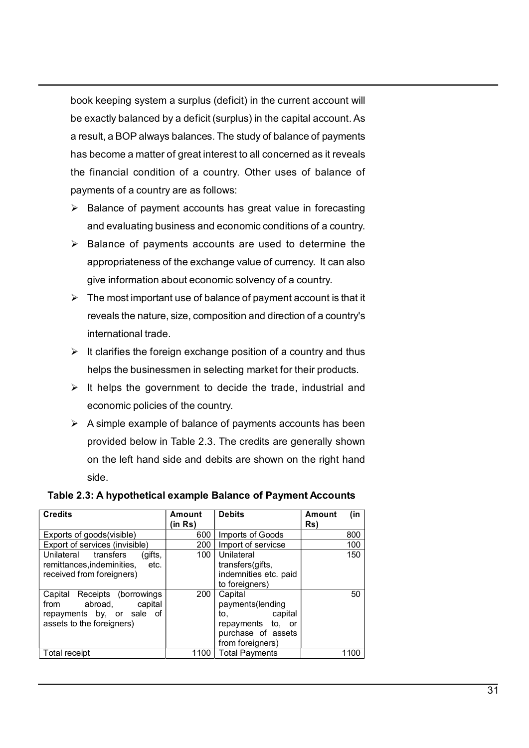book keeping system a surplus (deficit) in the current account will<br>be exactly balanced by a deficit (surplus) in the capital account. As<br>a result, a BOP always balances. The study of balance of payments<br>has become a matte book keeping system a surplus (deficit) in the current account will<br>be exactly balanced by a deficit (surplus) in the capital account. As<br>a result, a BOP always balances. The study of balance of payments<br>has become a matte book keeping system a surplus (deficit) in the current account will<br>be exactly balanced by a deficit (surplus) in the capital account. As<br>a result, a BOP always balances. The study of balance of payments<br>has become a matte Make the space of payment a surplus (deficit) in the current account will<br>be exactly balanced by a deficit (surplus) in the capital account. As<br>a result, a BOP always balances. The study of balance of payments<br>has become the financial conditions are a surplus (deficit) in the current account will<br>be exactly balanced by a deficit (surplus) in the capital account. As<br>a result, a BOP always balances. The study of balance of payments<br>has beco book keeping system a surplus (deficit) in the current account will<br>be exactly balanced by a deficit (surplus) in the capital account. As<br>a result, a BOP always balances. The study of balance of payments<br>has become a matt book keeping system a surplus (deficit) in the current account will<br>be exactly balanced by a deficit (surplus) in the capital account. As<br>a result, a BOP always balances. The study of balance of payments<br>has become a matt k keeping system a surplus (deficit) in the current account will<br>varactly balanced by a deficit (surplus) in the capital account. As<br>sult, a BOP always balances. The study of balance of payments<br>become a matter of great in book keeping system a surplus (deficit) in the current account will<br>be exactly balanced by a deficit (surplus) in the capital account. As<br>a result, a BOP always balances. The study of balance of payments<br>has become a matt k keeping system a surplus (deficit) in the current account will<br>exactly balanced by a deficit (surplus) in the capital account. As<br>sult, a BOP always balances. The study of balance of payments<br>become a matter of great int k keeping system a surplus (deficit) in the current account will<br>exactly balanced by a deficit (surplus) in the capital account. As<br>sult, a BOP always balances. The study of balance of payments<br>become a matter of great int The most important and the most important account will<br>
be exactly balanced by a deficit (surplus) in the capital account. As<br>
a result, a BOP always balances. The study of balance of payments<br>
has become a matter of grea k keeping system a surplus (deficit) in the current account will<br>exactly balanced by a deficit (surplus) in the capital account. As<br>sult, a BOP always balances. The study of balance of payments<br>become a matter of great int In the control of a surplus (tend of the content account will searchly balanced by a deficit (surplus) in the capital account. As sult, a BOP always balances. The study of balance of payments become a matter of great inter Be exactly ventilives of a countries and the flarence of a present account. As<br>a result, a BOP always balances. The study of balance of payments<br>the financial condition of a country. Other uses of balance of payments<br>of a star, a Dot Taways statances: The staty of businese or payments<br>the conne a matter of greatinterest to all concerned as it reveals<br>financial condition of a country. Other uses of balance of<br>ments of a country are as follow

- 
- 
- It is financial condition of a country. Other uses of balance of payments of a country are as follows:<br>
> Balance of payment accounts has great value in forecasting<br>
and evaluating business and economic conditions of a co ments of a country are as follows:<br>
ments of a country are as follows:<br>
Balance of payment accounts has great value in forecasting<br>
and evaluating business and economic conditions of a country.<br>
and evaluating business and
- 
- 
- **Example 10** accounts has great value in forecasting<br>  $\triangleright$  Balance of payments accounts has great value in forecasting<br>
and evaluating business and economic conditions of a country.<br>  $\triangleright$  Balance of payments accounts paramor or peyrient accounts has yied with interesting<br>and evaluating business and economic conditions of a country.<br>Balance of payments accounts are used to determine the<br>appropriateness of the exchange value of currency. and eventating business and countine continuous or a counting the<br>appropriateness of the exchange value of currency. It can also<br>give information about economic solvency of a country.<br>The most important use of balance of p side. spirophenaristo and exclusive value of a country. It can also<br>give information about economic solvency of a country.<br>The most important use of balance of payment account is that it<br>reveals the nature, size, composition an

|                |                                                                                                                 |                | The most important use of balance of payment account is that it                          |        |      |
|----------------|-----------------------------------------------------------------------------------------------------------------|----------------|------------------------------------------------------------------------------------------|--------|------|
|                |                                                                                                                 |                | reveals the nature, size, composition and direction of a country's                       |        |      |
|                | international trade.                                                                                            |                |                                                                                          |        |      |
|                | ➤                                                                                                               |                | It clarifies the foreign exchange position of a country and thus                         |        |      |
|                |                                                                                                                 |                | helps the businessmen in selecting market for their products.                            |        |      |
|                | ➤                                                                                                               |                | It helps the government to decide the trade, industrial and                              |        |      |
|                | economic policies of the country.                                                                               |                |                                                                                          |        |      |
|                | ➤                                                                                                               |                | A simple example of balance of payments accounts has been                                |        |      |
|                |                                                                                                                 |                | provided below in Table 2.3. The credits are generally shown                             |        |      |
|                |                                                                                                                 |                | on the left hand side and debits are shown on the right hand                             |        |      |
|                | side.                                                                                                           |                |                                                                                          |        |      |
|                | Table 2.3: A hypothetical example Balance of Payment Accounts                                                   |                |                                                                                          |        |      |
| <b>Credits</b> |                                                                                                                 |                |                                                                                          |        |      |
|                |                                                                                                                 |                |                                                                                          |        |      |
|                |                                                                                                                 | <b>Amount</b>  | <b>Debits</b>                                                                            | Amount | (in  |
|                | Exports of goods(visible)                                                                                       | (in Rs)<br>600 | Imports of Goods                                                                         | Rs)    | 800  |
|                | Export of services (invisible)                                                                                  | 200            | Import of servicse                                                                       |        | 100  |
| Unilateral     | transfers<br>(gifts,<br>remittances, indeminities,<br>etc.<br>received from foreigners)                         | 100            | Unilateral<br>transfers(gifts,<br>indemnities etc. paid<br>to foreigners)                |        | 150  |
| from           | Capital Receipts<br>(borrowings<br>abroad,<br>capital<br>repayments by, or sale of<br>assets to the foreigners) | 200            | Capital<br>payments(lending<br>to.<br>capital<br>repayments to, or<br>purchase of assets |        | 50   |
| Total receipt  |                                                                                                                 | 1100           | from foreigners)<br><b>Total Payments</b>                                                |        | 1100 |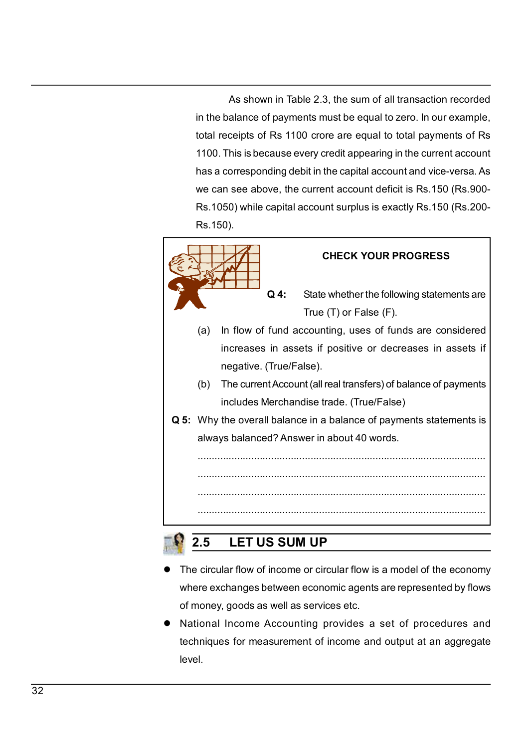As shown in Table 2.3, the sum of all transaction recorded<br>alance of payments must be equal to zero. In our example,<br>ceipts of Rs 1100 crore are equal to total payments of Rs<br>his is because every credit appearing in the cu As shown in Table 2.3, the sum of all transaction recorded<br>in the balance of payments must be equal to zero. In our example,<br>total receipts of Rs 1100 crore are equal to total payments of Rs<br>1100. This is because every cre As shown in Table 2.3, the sum of all transaction recorded<br>in the balance of payments must be equal to zero. In our example,<br>total receipts of Rs 1100 crore are equal to total payments of Rs<br>1100. This is because every cre 4100. This is because we may be equal to zero. In our example, in the balance of payments must be equal to zero. In our example, total receipts of Rs 1100 crore are equal to total payments of Rs 1100. This is because every As shown in Table 2.3, the sum of all transaction recorded<br>in the balance of payments must be equal to zero. In our example,<br>total receipts of Rs 1100 crore are equal to total payments of Rs<br>1100. This is because every cre As shown in Table 2.3, the sum of all transaction recorded<br>in the balance of payments must be equal to zero. In our example,<br>total receipts of Rs 1100 crore are equal to total payments of Rs<br>1100. This is because every cre As shown in Table 2.3, the sum of all transaction recorded<br>in the balance of payments must be equal to zero. In our example,<br>total receipts of Rs 1100 crore are equal to total payments of Rs<br>1100. This is because every cre Rs.150). 3, the sum of all transaction recorded<br>nust be equal to zero. In our example,<br>pre are equal to total payments of Rs<br>credit appearing in the current account<br>the capital account and vice-versa. As<br>ent account deficit is Rs.1 m in Table 2.3, the sum of all transaction recorded<br>f payments must be equal to zero. In our example,<br>Rs 1100 crore are equal to total payments of Rs<br>cause every credit appearing in the current account<br>ding debit in the c



- 
- level.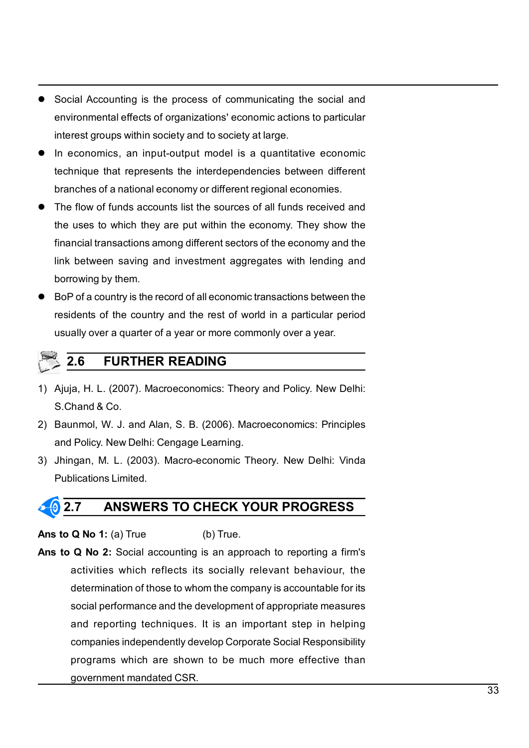- Social Accounting is the process of communicating the social and<br>environmental effects of organizations' economic actions to particular<br>interest groups within society and to society at large.<br>● In economics, an input-ou Social Accounting is the process of communicating the social and<br>environmental effects of organizations' economic actions to particular<br>interest groups within society and to society at large.<br>In economics, an input-output Social Accounting is the process of communicating the social and<br>environmental effects of organizations' economic actions to particular<br>interest groups within society and to society at large.<br>In economics, an input-output
- <ul>\n<li> Social According is the process of communicating the social and environmental effects of organizations' economic actions to particular interest groups within society and to society at large.</li>\n<li>In economics, an input-output model is a quantitative economic technique that represents the interdependencies between different branches of a national economy or different regional economics.</li>\n<li>The flow of funds accounts list the sources of all funds received and</li>\n</ul> Social Accounting is the process of communicating the social and<br>environmental effects of organizations' economic actions to particular<br>interest groups within society and to society at large.<br>In economics, an input-output Social Accounting is the process of communicating the social and<br>environmental effects of organizations' economic actions to particular<br>interest groups within society and to society at large.<br>In economics, an input-output
- Social Accounting is the process of communicating the social and<br>
environmental effects of organizations' economic actions to particular<br>
interest groups within society and to society at large.<br>
 In economics, an input Social Accounting is the process of communicating the social and<br>environmental effects of organizations' economic actions to particular<br>interest groups within society and to society at large.<br>In economics, an input-output Social Accounting is the process of communicating the social and<br>environmental effects of organizations' economic actions to particular<br>interest groups within society and to society at large.<br>In economics, an input-output Social Accounting is the process of communicating the social and<br>environmental effects of organizations' economic actions to particular<br>interest groups within society and to society at large.<br>In economics, an input-output Social Accounting is the process of communicating the social and<br>environmental effects of organizations' economic actions to particular<br>interest groups within society and to society at large.<br>In economics, an input-output ■ Social Accounting is the process of communicating the social and<br>
environmental effects of organizations' economic actions to particular<br>
interest groups within society and to society at large.<br>
■ In economics, an input Social Accounting is the process of communicating the social and<br>environmental effects of organizations' economic actions to particular<br>interest groups within society and to society at large.<br>In economics, an input-output social reasons and the method of a year and the policies are proportionential effects of organizations' economic actions to particular interest groups within society and to society at large.<br>In economics, an input-output erest groups within society and to society at large.<br>
economics, an input-output model is a quantitative economic<br>
thinique that represents the interdependencies between different<br>
inches of a national economy or different 11 Alying, H. L. (2007). Macroeconomics: Theory and Policy. New Delhi:<br>
11 Alying, H. C. (2007). Macroscopic Lemannian Control of the server and the uses to which they are put within the economy. They show the<br>
11 Alying a branches of a national economy or different regional economies.<br>The flow of funds accounts list the sources of all funds received and<br>the uses to which they are put within the economy. They show the<br>financial transactions • The flow of funds accounts list the sources of all funds received and<br>the uses to which they are put within the economy. They show the<br>financial transactions among different sectors of the economy and the<br>link between s The uses to which they are put within the economy. They show the<br>the uses to which they are put within the economy. They show the<br>financial transactions among different sectors of the economy and the<br>link between saving an mencial transactions among different sectors of the economy and the<br>
link between saving and investment aggregates with lending and<br>
borrowing by them.<br>
• BoP of a country is the record of all economic transactions between
- Fink between saving and investment aggregates with lending and<br>
Bink between saving and investment aggregates with lending and<br>
BoP of a country is the record of all economic transactions between the<br>
residents of the coun The Profile of all economic transactions between the<br>
Sidents of the country and the rest of world in a particular period<br>
sidents of the country and the rest of world in a particular period<br>
2.6 FURTHER READING<br>
uja, H. L

- 
- 
- 

residents of the country and the rest of world in a particular period<br>
usually over a quarter of a year or more commonly over a year.<br>
2.6 **FURTHER READING**<br>
1) Ajuja, H. L. (2007). Macroeconomics: Theory and Policy. New D Isually over a quarter of a year or more commonly over a year.<br>
2.6 FURTHER READING<br>
1) Ajuja, H. L. (2007). Macroeconomics: Theory and Policy. New Delhi:<br>
S.Chand & Co.<br>
2) Baunmol, W. J. and Alan, S. B. (2006). Macroecon **EXECTS FURTHER READING**<br> **EXECTS ALCONT THER READING**<br> **EXECTS ALCONT THERT READING**<br> **EXECTS INTERT ALCONT THERT READING**<br> **POICY.** New Delhi: Cengage Learning.<br> **POICY.** New Delhi: Cengage Learning.<br> **EXECTS POICY.** New **2.6 FURTHER READING**<br>
a, H. L. (2007). Macroeconomics: Theory and Policy. New Delhi:<br>
hand & Co.<br>
Inmol, W. J. and Alan, S. B. (2006). Macroeconomics: Principles<br>
Policy. New Delhi: Cengage Learning.<br>
Iggan, M. L. (2003). ia, H. L. (2007). Macroeconomics: Theory and Policy. New Delhi:<br>hand & Co.<br>Inmol, W. J. and Alan, S. B. (2006). Macroeconomics: Principles<br>Policy. New Delhi: Cengage Learning.<br>Jgan, M. L. (2003). Macro-economic Theory. New From the Correction and Alan, S. B. (2006). Macroeconomics: Principles<br>
Policy. New Delhi: Cengage Learning.<br>
Igan, M. L. (2003). Macro-economic Theory. New Delhi: Vinda<br>
Ilications Limited.<br> **2.7. ANSWERS TO CHECK YOUR PR** mumol, W. J. and Alan, S. B. (2006). Macroeconomics: Principles<br>
Policy. New Delhi: Cengage Learning.<br>
Igan, M. L. (2003). Macro-economic Theory. New Delhi: Vinda<br>
ilications Limited.<br> **Corporations Corporate Social Accoun** Policy. New Delhi: Cengage Learning.<br>
Policy. New Delhi: Cengage Learning.<br>
Igan, M. L. (2003). Macro-economic Theory. New Delhi: Vinda<br>
bilications Limited.<br> **7.** ANSWERS TO CHECK YOUR PROGRESS<br>
Q No 1: (a) True (b) True. man, M. L. (2003). Macro-economic Theory. New Delhi: Vinda<br>
vilications Limited.<br> **7. ANSWERS TO CHECK YOUR PROGRESS**<br> **Q No 1:** (a) True (b) True.<br> **Q No 2:** Social accounting is an approach to reporting a firm's<br>
activit